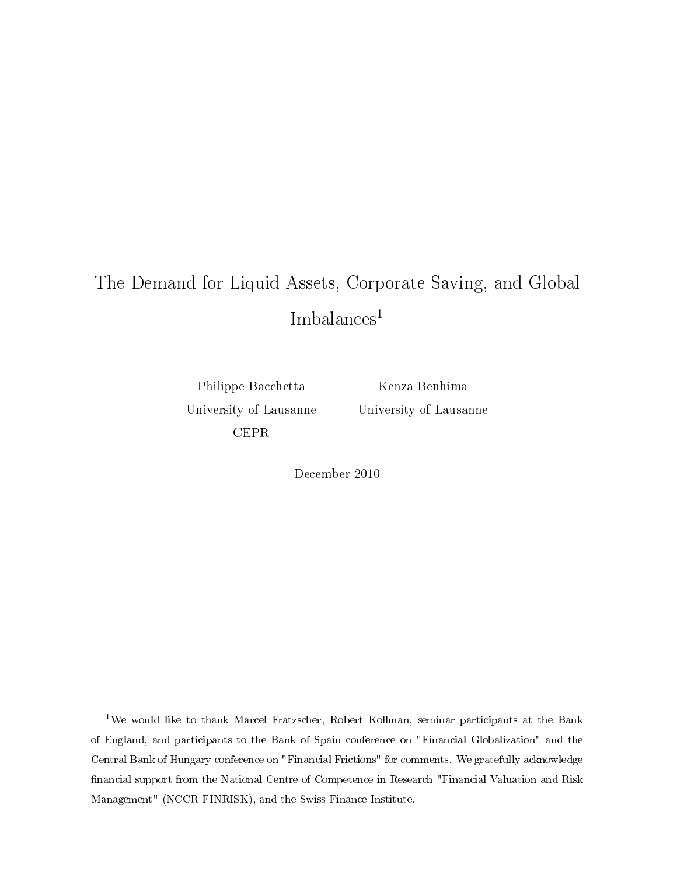# The Demand for Liquid Assets, Corporate Saving, and Global  $\mathbf{Imbalances}^{1}$

Philippe Bacchetta University of Lausanne CEPR

Kenza Benhima University of Lausanne

December 2010

<sup>1</sup>We would like to thank Marcel Fratzscher, Robert Kollman, seminar participants at the Bank of England, and participants to the Bank of Spain conference on "Financial Globalization" and the Central Bank of Hungary conference on "Financial Frictions" for comments. We gratefully acknowledge financial support from the National Centre of Competence in Research "Financial Valuation and Risk Management" (NCCR FINRISK), and the Swiss Finance Institute.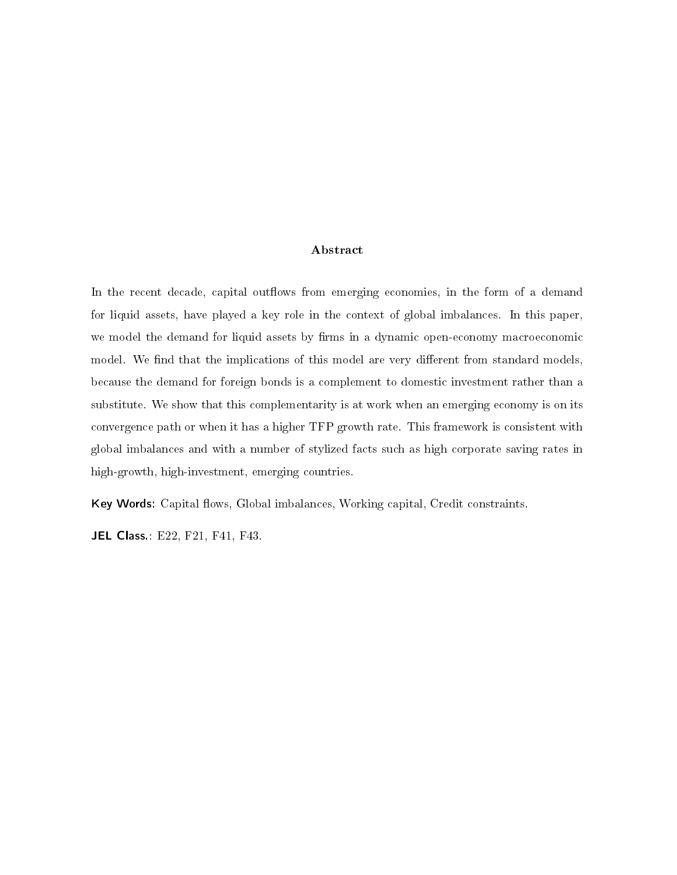#### Abstract

In the recent decade, capital outflows from emerging economies, in the form of a demand for liquid assets, have played a key role in the context of global imbalances. In this paper, we model the demand for liquid assets by firms in a dynamic open-economy macroeconomic model. We find that the implications of this model are very different from standard models, because the demand for foreign bonds is a complement to domestic investment rather than a substitute. We show that this complementarity is at work when an emerging economy is on its convergence path or when it has a higher TFP growth rate. This framework is consistent with global imbalances and with a number of stylized facts such as high corporate saving rates in high-growth, high-investment, emerging countries.

Key Words: Capital flows, Global imbalances, Working capital, Credit constraints.

JEL Class.: E22, F21, F41, F43.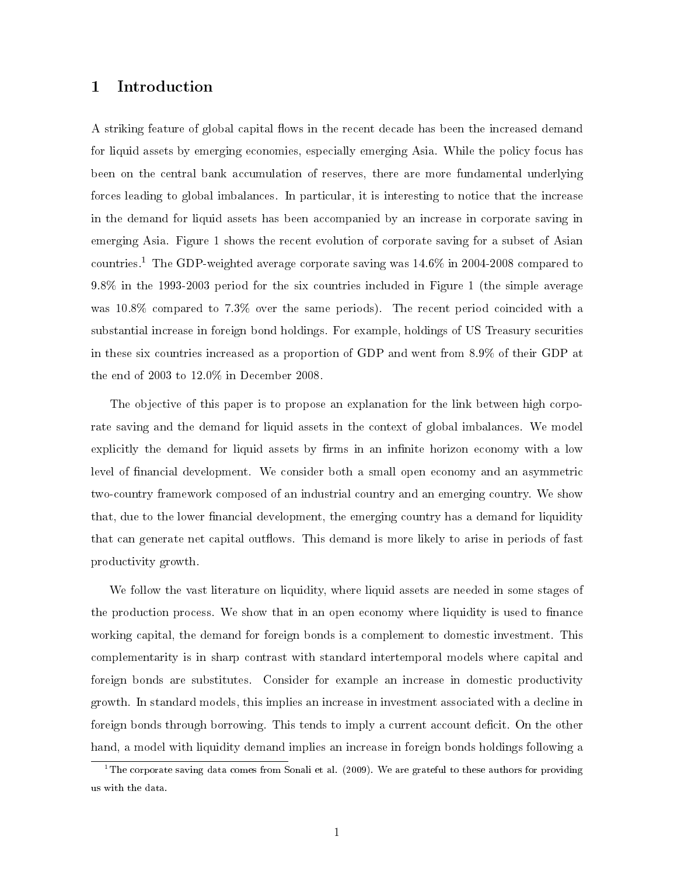## 1 Introduction

A striking feature of global capital flows in the recent decade has been the increased demand for liquid assets by emerging economies, especially emerging Asia. While the policy focus has been on the central bank accumulation of reserves, there are more fundamental underlying forces leading to global imbalances. In particular, it is interesting to notice that the increase in the demand for liquid assets has been accompanied by an increase in corporate saving in emerging Asia. Figure 1 shows the recent evolution of corporate saving for a subset of Asian countries.<sup>1</sup> The GDP-weighted average corporate saving was  $14.6\%$  in 2004-2008 compared to 9.8% in the 1993-2003 period for the six countries included in Figure 1 (the simple average was 10.8% compared to 7.3% over the same periods). The recent period coincided with a substantial increase in foreign bond holdings. For example, holdings of US Treasury securities in these six countries increased as a proportion of GDP and went from 8.9% of their GDP at the end of 2003 to 12.0% in December 2008.

The objective of this paper is to propose an explanation for the link between high corporate saving and the demand for liquid assets in the context of global imbalances. We model explicitly the demand for liquid assets by firms in an infinite horizon economy with a low level of financial development. We consider both a small open economy and an asymmetric two-country framework composed of an industrial country and an emerging country. We show that, due to the lower financial development, the emerging country has a demand for liquidity that can generate net capital outflows. This demand is more likely to arise in periods of fast productivity growth.

We follow the vast literature on liquidity, where liquid assets are needed in some stages of the production process. We show that in an open economy where liquidity is used to finance working capital, the demand for foreign bonds is a complement to domestic investment. This complementarity is in sharp contrast with standard intertemporal models where capital and foreign bonds are substitutes. Consider for example an increase in domestic productivity growth. In standard models, this implies an increase in investment associated with a decline in foreign bonds through borrowing. This tends to imply a current account deficit. On the other hand, a model with liquidity demand implies an increase in foreign bonds holdings following a

 $\overline{^{1}$ The corporate saving data comes from Sonali et al. (2009). We are grateful to these authors for providing us with the data.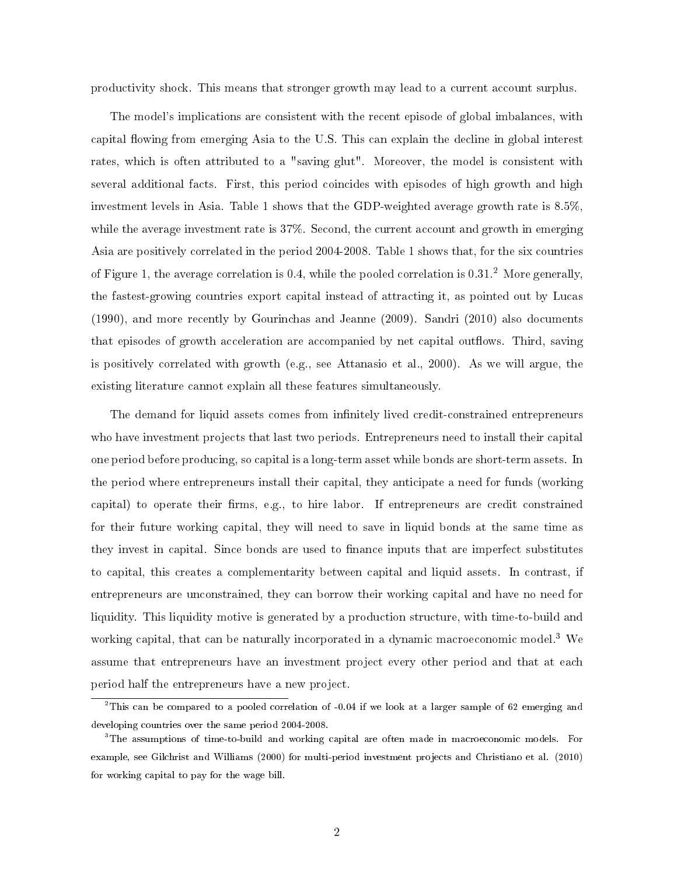productivity shock. This means that stronger growth may lead to a current account surplus.

The model's implications are consistent with the recent episode of global imbalances, with capital flowing from emerging Asia to the U.S. This can explain the decline in global interest rates, which is often attributed to a "saving glut". Moreover, the model is consistent with several additional facts. First, this period coincides with episodes of high growth and high investment levels in Asia. Table 1 shows that the GDP-weighted average growth rate is 8.5%, while the average investment rate is 37%. Second, the current account and growth in emerging Asia are positively correlated in the period 2004-2008. Table 1 shows that, for the six countries of Figure 1, the average correlation is 0.4, while the pooled correlation is  $0.31<sup>2</sup>$  More generally, the fastest-growing countries export capital instead of attracting it, as pointed out by Lucas (1990), and more recently by Gourinchas and Jeanne (2009). Sandri (2010) also documents that episodes of growth acceleration are accompanied by net capital outflows. Third, saving is positively correlated with growth (e.g., see Attanasio et al., 2000). As we will argue, the existing literature cannot explain all these features simultaneously.

The demand for liquid assets comes from infinitely lived credit-constrained entrepreneurs who have investment projects that last two periods. Entrepreneurs need to install their capital one period before producing, so capital is a long-term asset while bonds are short-term assets. In the period where entrepreneurs install their capital, they anticipate a need for funds (working capital) to operate their firms, e.g., to hire labor. If entrepreneurs are credit constrained for their future working capital, they will need to save in liquid bonds at the same time as they invest in capital. Since bonds are used to finance inputs that are imperfect substitutes to capital, this creates a complementarity between capital and liquid assets. In contrast, if entrepreneurs are unconstrained, they can borrow their working capital and have no need for liquidity. This liquidity motive is generated by a production structure, with time-to-build and working capital, that can be naturally incorporated in a dynamic macroeconomic model.<sup>3</sup> We assume that entrepreneurs have an investment project every other period and that at each period half the entrepreneurs have a new project.

<sup>&</sup>lt;sup>2</sup>This can be compared to a pooled correlation of -0.04 if we look at a larger sample of 62 emerging and developing countries over the same period 2004-2008.

<sup>&</sup>lt;sup>3</sup>The assumptions of time-to-build and working capital are often made in macroeconomic models. For example, see Gilchrist and Williams (2000) for multi-period investment projects and Christiano et al. (2010) for working capital to pay for the wage bill.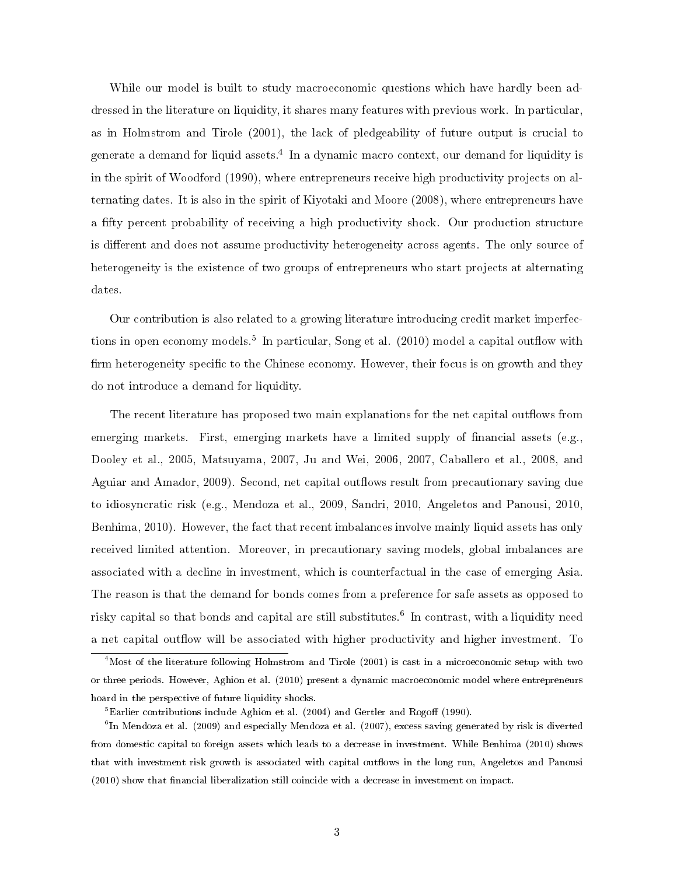While our model is built to study macroeconomic questions which have hardly been addressed in the literature on liquidity, it shares many features with previous work. In particular, as in Holmstrom and Tirole (2001), the lack of pledgeability of future output is crucial to generate a demand for liquid assets. $^4$  In a dynamic macro context, our demand for liquidity is in the spirit of Woodford (1990), where entrepreneurs receive high productivity projects on alternating dates. It is also in the spirit of Kiyotaki and Moore (2008), where entrepreneurs have a fifty percent probability of receiving a high productivity shock. Our production structure is different and does not assume productivity heterogeneity across agents. The only source of heterogeneity is the existence of two groups of entrepreneurs who start projects at alternating dates.

Our contribution is also related to a growing literature introducing credit market imperfections in open economy models.<sup>5</sup> In particular, Song et al.  $(2010)$  model a capital outflow with firm heterogeneity specific to the Chinese economy. However, their focus is on growth and they do not introduce a demand for liquidity.

The recent literature has proposed two main explanations for the net capital outflows from emerging markets. First, emerging markets have a limited supply of financial assets  $(e.g.,)$ Dooley et al., 2005, Matsuyama, 2007, Ju and Wei, 2006, 2007, Caballero et al., 2008, and Aguiar and Amador, 2009). Second, net capital outflows result from precautionary saving due to idiosyncratic risk (e.g., Mendoza et al., 2009, Sandri, 2010, Angeletos and Panousi, 2010, Benhima, 2010). However, the fact that recent imbalances involve mainly liquid assets has only received limited attention. Moreover, in precautionary saving models, global imbalances are associated with a decline in investment, which is counterfactual in the case of emerging Asia. The reason is that the demand for bonds comes from a preference for safe assets as opposed to risky capital so that bonds and capital are still substitutes. $^6\,$  In contrast, with a liquidity need a net capital outflow will be associated with higher productivity and higher investment. To

<sup>&</sup>lt;sup>4</sup>Most of the literature following Holmstrom and Tirole (2001) is cast in a microeconomic setup with two or three periods. However, Aghion et al. (2010) present a dynamic macroeconomic model where entrepreneurs hoard in the perspective of future liquidity shocks.

 ${}^{5}$ Earlier contributions include Aghion et al. (2004) and Gertler and Rogoff (1990).

 $^6$ In Mendoza et al. (2009) and especially Mendoza et al. (2007), excess saving generated by risk is diverted from domestic capital to foreign assets which leads to a decrease in investment. While Benhima (2010) shows that with investment risk growth is associated with capital outflows in the long run, Angeletos and Panousi  $(2010)$  show that financial liberalization still coincide with a decrease in investment on impact.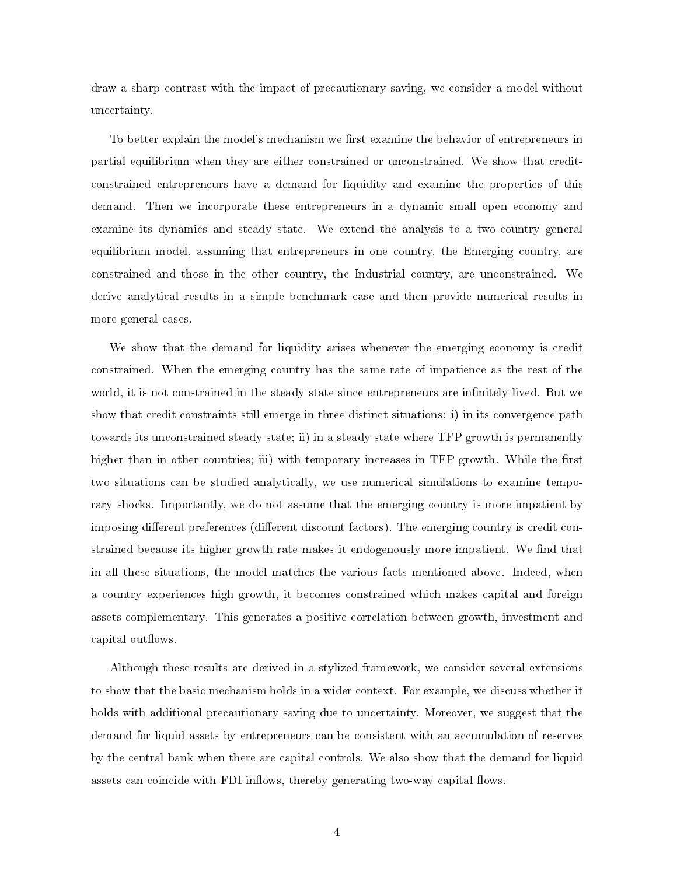draw a sharp contrast with the impact of precautionary saving, we consider a model without uncertainty.

To better explain the model's mechanism we first examine the behavior of entrepreneurs in partial equilibrium when they are either constrained or unconstrained. We show that creditconstrained entrepreneurs have a demand for liquidity and examine the properties of this demand. Then we incorporate these entrepreneurs in a dynamic small open economy and examine its dynamics and steady state. We extend the analysis to a two-country general equilibrium model, assuming that entrepreneurs in one country, the Emerging country, are constrained and those in the other country, the Industrial country, are unconstrained. We derive analytical results in a simple benchmark case and then provide numerical results in more general cases.

We show that the demand for liquidity arises whenever the emerging economy is credit constrained. When the emerging country has the same rate of impatience as the rest of the world, it is not constrained in the steady state since entrepreneurs are infinitely lived. But we show that credit constraints still emerge in three distinct situations: i) in its convergence path towards its unconstrained steady state; ii) in a steady state where TFP growth is permanently higher than in other countries; iii) with temporary increases in TFP growth. While the first two situations can be studied analytically, we use numerical simulations to examine temporary shocks. Importantly, we do not assume that the emerging country is more impatient by imposing different preferences (different discount factors). The emerging country is credit constrained because its higher growth rate makes it endogenously more impatient. We find that in all these situations, the model matches the various facts mentioned above. Indeed, when a country experiences high growth, it becomes constrained which makes capital and foreign assets complementary. This generates a positive correlation between growth, investment and capital outflows.

Although these results are derived in a stylized framework, we consider several extensions to show that the basic mechanism holds in a wider context. For example, we discuss whether it holds with additional precautionary saving due to uncertainty. Moreover, we suggest that the demand for liquid assets by entrepreneurs can be consistent with an accumulation of reserves by the central bank when there are capital controls. We also show that the demand for liquid assets can coincide with FDI inflows, thereby generating two-way capital flows.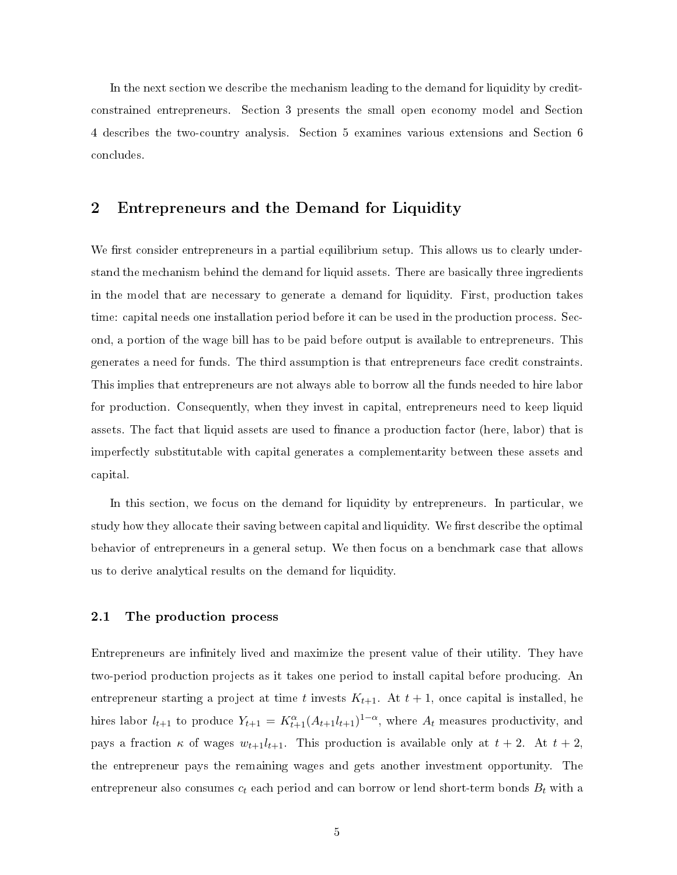In the next section we describe the mechanism leading to the demand for liquidity by creditconstrained entrepreneurs. Section 3 presents the small open economy model and Section 4 describes the two-country analysis. Section 5 examines various extensions and Section 6 concludes.

## 2 Entrepreneurs and the Demand for Liquidity

We first consider entrepreneurs in a partial equilibrium setup. This allows us to clearly understand the mechanism behind the demand for liquid assets. There are basically three ingredients in the model that are necessary to generate a demand for liquidity. First, production takes time: capital needs one installation period before it can be used in the production process. Second, a portion of the wage bill has to be paid before output is available to entrepreneurs. This generates a need for funds. The third assumption is that entrepreneurs face credit constraints. This implies that entrepreneurs are not always able to borrow all the funds needed to hire labor for production. Consequently, when they invest in capital, entrepreneurs need to keep liquid assets. The fact that liquid assets are used to finance a production factor (here, labor) that is imperfectly substitutable with capital generates a complementarity between these assets and capital.

In this section, we focus on the demand for liquidity by entrepreneurs. In particular, we study how they allocate their saving between capital and liquidity. We first describe the optimal behavior of entrepreneurs in a general setup. We then focus on a benchmark case that allows us to derive analytical results on the demand for liquidity.

### 2.1 The production process

Entrepreneurs are infinitely lived and maximize the present value of their utility. They have two-period production projects as it takes one period to install capital before producing. An entrepreneur starting a project at time t invests  $K_{t+1}$ . At  $t+1$ , once capital is installed, he hires labor  $l_{t+1}$  to produce  $Y_{t+1} = K_{t+1}^{\alpha} (A_{t+1}l_{t+1})^{1-\alpha}$ , where  $A_t$  measures productivity, and pays a fraction  $\kappa$  of wages  $w_{t+1}l_{t+1}$ . This production is available only at  $t + 2$ . At  $t + 2$ , the entrepreneur pays the remaining wages and gets another investment opportunity. The entrepreneur also consumes  $c_t$  each period and can borrow or lend short-term bonds  $B_t$  with a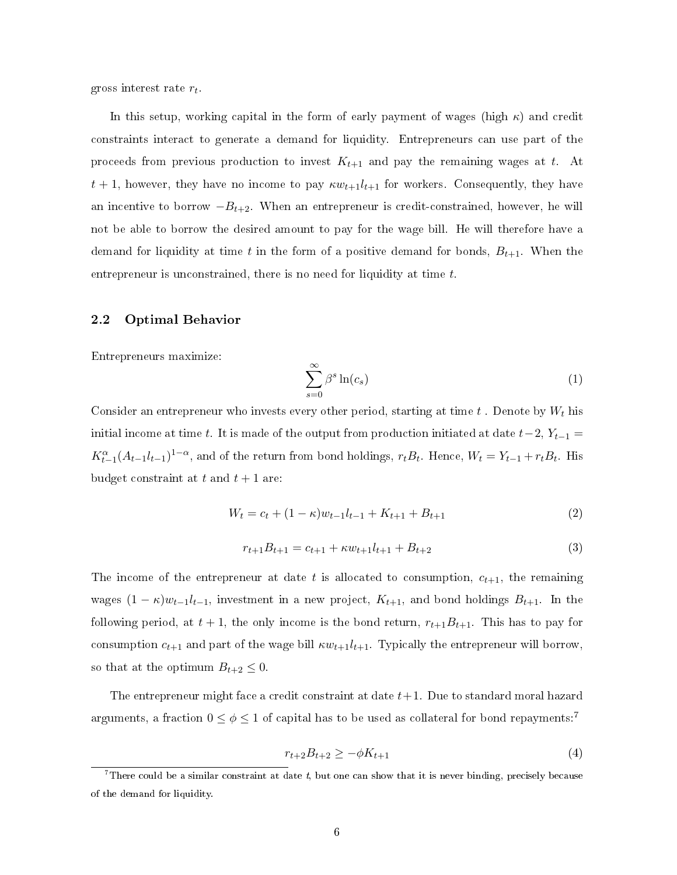gross interest rate  $r_t$ .

In this setup, working capital in the form of early payment of wages (high  $\kappa$ ) and credit constraints interact to generate a demand for liquidity. Entrepreneurs can use part of the proceeds from previous production to invest  $K_{t+1}$  and pay the remaining wages at t. At  $t + 1$ , however, they have no income to pay  $\kappa w_{t+1}l_{t+1}$  for workers. Consequently, they have an incentive to borrow  $-B_{t+2}$ . When an entrepreneur is credit-constrained, however, he will not be able to borrow the desired amount to pay for the wage bill. He will therefore have a demand for liquidity at time t in the form of a positive demand for bonds,  $B_{t+1}$ . When the entrepreneur is unconstrained, there is no need for liquidity at time t.

#### 2.2 Optimal Behavior

Entrepreneurs maximize:

$$
\sum_{s=0}^{\infty} \beta^s \ln(c_s) \tag{1}
$$

Consider an entrepreneur who invests every other period, starting at time  $t$ . Denote by  $W_t$  his initial income at time t. It is made of the output from production initiated at date  $t-2$ ,  $Y_{t-1} =$  $K_{t-1}^{\alpha}(A_{t-1}l_{t-1})^{1-\alpha}$ , and of the return from bond holdings,  $r_tB_t$ . Hence,  $W_t = Y_{t-1} + r_tB_t$ . His budget constraint at t and  $t + 1$  are:

$$
W_t = c_t + (1 - \kappa)w_{t-1}l_{t-1} + K_{t+1} + B_{t+1}
$$
\n<sup>(2)</sup>

$$
r_{t+1}B_{t+1} = c_{t+1} + \kappa w_{t+1}l_{t+1} + B_{t+2}
$$
\n
$$
\tag{3}
$$

The income of the entrepreneur at date t is allocated to consumption,  $c_{t+1}$ , the remaining wages  $(1 - \kappa)w_{t-1}l_{t-1}$ , investment in a new project,  $K_{t+1}$ , and bond holdings  $B_{t+1}$ . In the following period, at  $t + 1$ , the only income is the bond return,  $r_{t+1}B_{t+1}$ . This has to pay for consumption  $c_{t+1}$  and part of the wage bill  $\kappa w_{t+1}l_{t+1}$ . Typically the entrepreneur will borrow, so that at the optimum  $B_{t+2} \leq 0$ .

The entrepreneur might face a credit constraint at date  $t+1$ . Due to standard moral hazard arguments, a fraction  $0 \le \phi \le 1$  of capital has to be used as collateral for bond repayments:<sup>7</sup>

$$
r_{t+2}B_{t+2} \ge -\phi K_{t+1} \tag{4}
$$

 $^7$ There could be a similar constraint at date t, but one can show that it is never binding, precisely because of the demand for liquidity.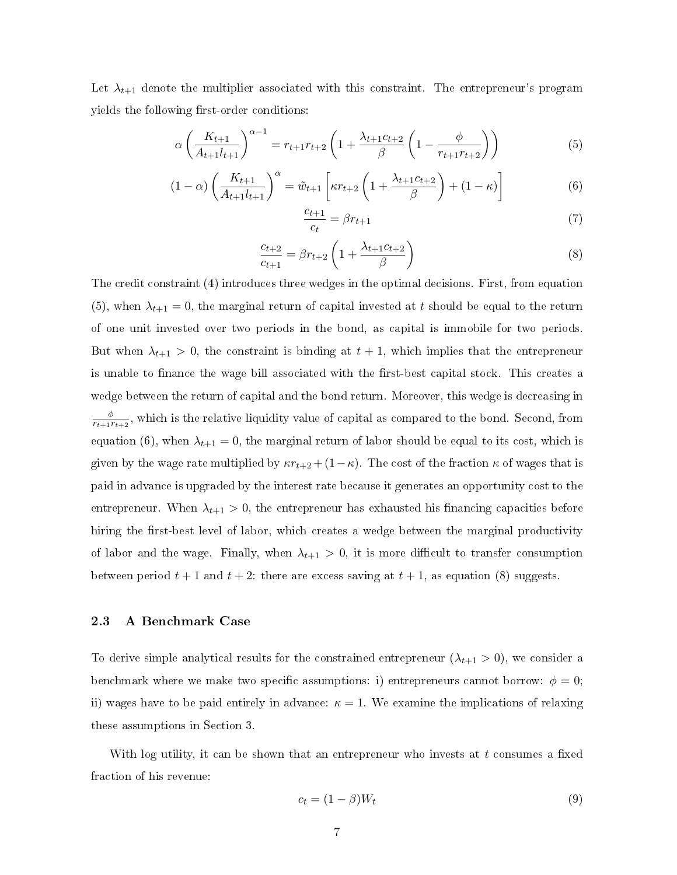Let  $\lambda_{t+1}$  denote the multiplier associated with this constraint. The entrepreneur's program yields the following first-order conditions:

$$
\alpha \left( \frac{K_{t+1}}{A_{t+1} l_{t+1}} \right)^{\alpha - 1} = r_{t+1} r_{t+2} \left( 1 + \frac{\lambda_{t+1} c_{t+2}}{\beta} \left( 1 - \frac{\phi}{r_{t+1} r_{t+2}} \right) \right) \tag{5}
$$

$$
(1 - \alpha) \left(\frac{K_{t+1}}{A_{t+1}l_{t+1}}\right)^{\alpha} = \tilde{w}_{t+1} \left[\kappa r_{t+2} \left(1 + \frac{\lambda_{t+1}c_{t+2}}{\beta}\right) + (1 - \kappa)\right]
$$
(6)  

$$
\frac{c_{t+1}}{\beta} = \beta r_{t+1}
$$
(7)

$$
\frac{t+1}{c_t} = \beta r_{t+1} \tag{7}
$$

$$
\frac{c_{t+2}}{c_{t+1}} = \beta r_{t+2} \left( 1 + \frac{\lambda_{t+1} c_{t+2}}{\beta} \right)
$$
 (8)

The credit constraint (4) introduces three wedges in the optimal decisions. First, from equation (5), when  $\lambda_{t+1} = 0$ , the marginal return of capital invested at t should be equal to the return of one unit invested over two periods in the bond, as capital is immobile for two periods. But when  $\lambda_{t+1} > 0$ , the constraint is binding at  $t + 1$ , which implies that the entrepreneur is unable to finance the wage bill associated with the first-best capital stock. This creates a wedge between the return of capital and the bond return. Moreover, this wedge is decreasing in φ  $\frac{\phi}{r_{t+1}r_{t+2}},$  which is the relative liquidity value of capital as compared to the bond. Second, from equation (6), when  $\lambda_{t+1} = 0$ , the marginal return of labor should be equal to its cost, which is given by the wage rate multiplied by  $\kappa r_{t+2} + (1 - \kappa)$ . The cost of the fraction  $\kappa$  of wages that is paid in advance is upgraded by the interest rate because it generates an opportunity cost to the entrepreneur. When  $\lambda_{t+1} > 0$ , the entrepreneur has exhausted his financing capacities before hiring the first-best level of labor, which creates a wedge between the marginal productivity of labor and the wage. Finally, when  $\lambda_{t+1} > 0$ , it is more difficult to transfer consumption between period  $t + 1$  and  $t + 2$ : there are excess saving at  $t + 1$ , as equation (8) suggests.

#### 2.3 A Benchmark Case

To derive simple analytical results for the constrained entrepreneur  $(\lambda_{t+1} > 0)$ , we consider a benchmark where we make two specific assumptions: i) entrepreneurs cannot borrow:  $\phi = 0$ ; ii) wages have to be paid entirely in advance:  $\kappa = 1$ . We examine the implications of relaxing these assumptions in Section 3.

With log utility, it can be shown that an entrepreneur who invests at  $t$  consumes a fixed fraction of his revenue:

$$
c_t = (1 - \beta)W_t \tag{9}
$$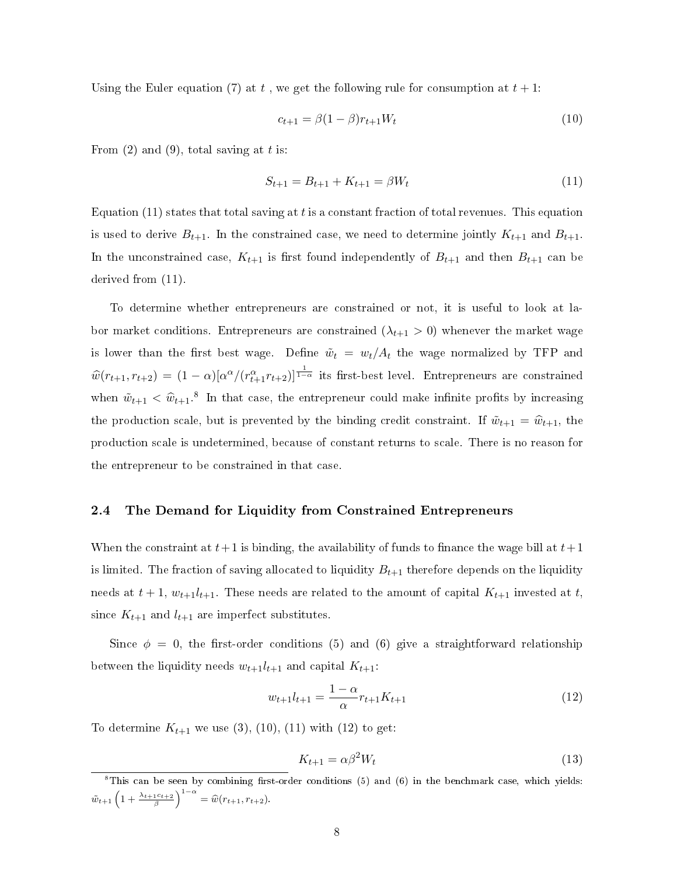Using the Euler equation (7) at t, we get the following rule for consumption at  $t + 1$ :

$$
c_{t+1} = \beta (1 - \beta) r_{t+1} W_t \tag{10}
$$

From  $(2)$  and  $(9)$ , total saving at t is:

$$
S_{t+1} = B_{t+1} + K_{t+1} = \beta W_t \tag{11}
$$

Equation  $(11)$  states that total saving at t is a constant fraction of total revenues. This equation is used to derive  $B_{t+1}$ . In the constrained case, we need to determine jointly  $K_{t+1}$  and  $B_{t+1}$ . In the unconstrained case,  $K_{t+1}$  is first found independently of  $B_{t+1}$  and then  $B_{t+1}$  can be derived from (11).

To determine whether entrepreneurs are constrained or not, it is useful to look at labor market conditions. Entrepreneurs are constrained  $(\lambda_{t+1} > 0)$  whenever the market wage is lower than the first best wage. Define  $\tilde{w}_t = w_t/A_t$  the wage normalized by TFP and  $\hat{w}(r_{t+1}, r_{t+2}) = (1-\alpha)[\alpha^{\alpha}/(r_{t+1}^{\alpha}r_{t+2})]^{\frac{1}{1-\alpha}}$  its first-best level. Entrepreneurs are constrained when  $\tilde{w}_{t+1} < \hat{w}_{t+1}$ .<sup>8</sup> In that case, the entrepreneur could make infinite profits by increasing the production scale, but is prevented by the binding credit constraint. If  $\tilde{w}_{t+1} = \hat{w}_{t+1}$ , the production scale is undetermined, because of constant returns to scale. There is no reason for the entrepreneur to be constrained in that case.

#### 2.4 The Demand for Liquidity from Constrained Entrepreneurs

When the constraint at  $t+1$  is binding, the availability of funds to finance the wage bill at  $t+1$ is limited. The fraction of saving allocated to liquidity  $B_{t+1}$  therefore depends on the liquidity needs at  $t + 1$ ,  $w_{t+1}l_{t+1}$ . These needs are related to the amount of capital  $K_{t+1}$  invested at t, since  $K_{t+1}$  and  $l_{t+1}$  are imperfect substitutes.

Since  $\phi = 0$ , the first-order conditions (5) and (6) give a straightforward relationship between the liquidity needs  $w_{t+1}l_{t+1}$  and capital  $K_{t+1}$ :

$$
w_{t+1}l_{t+1} = \frac{1-\alpha}{\alpha}r_{t+1}K_{t+1}
$$
\n(12)

To determine  $K_{t+1}$  we use (3), (10), (11) with (12) to get:

$$
K_{t+1} = \alpha \beta^2 W_t \tag{13}
$$

 $8$ This can be seen by combining first-order conditions (5) and (6) in the benchmark case, which yields:  $\tilde{w}_{t+1} \left( 1 + \frac{\lambda_{t+1} c_{t+2}}{\beta} \right)^{1-\alpha} = \hat{w}(r_{t+1}, r_{t+2}).$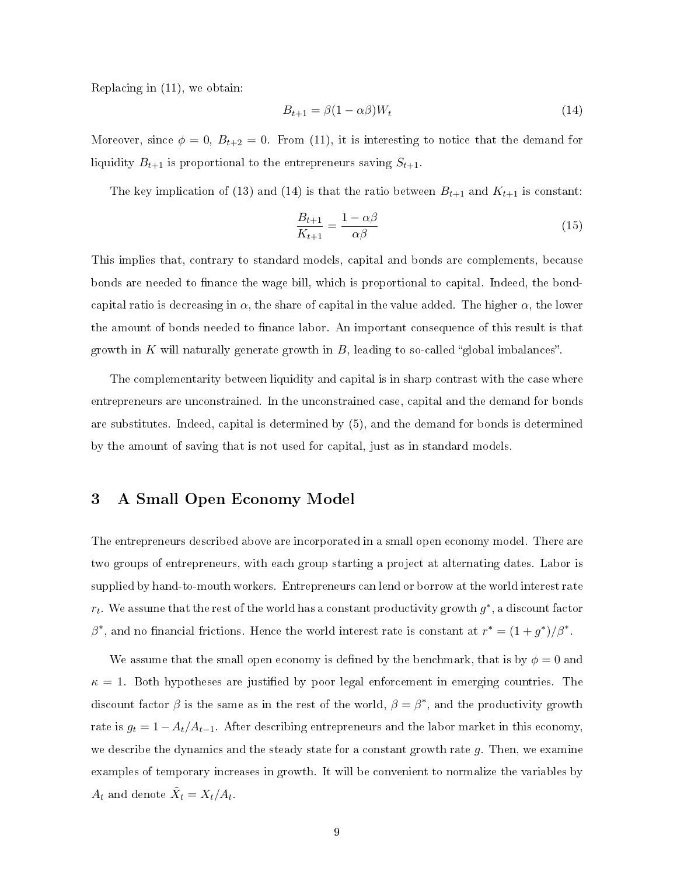Replacing in (11), we obtain:

$$
B_{t+1} = \beta (1 - \alpha \beta) W_t \tag{14}
$$

Moreover, since  $\phi = 0$ ,  $B_{t+2} = 0$ . From (11), it is interesting to notice that the demand for liquidity  $B_{t+1}$  is proportional to the entrepreneurs saving  $S_{t+1}$ .

The key implication of (13) and (14) is that the ratio between  $B_{t+1}$  and  $K_{t+1}$  is constant:

$$
\frac{B_{t+1}}{K_{t+1}} = \frac{1 - \alpha \beta}{\alpha \beta} \tag{15}
$$

This implies that, contrary to standard models, capital and bonds are complements, because bonds are needed to finance the wage bill, which is proportional to capital. Indeed, the bondcapital ratio is decreasing in  $\alpha$ , the share of capital in the value added. The higher  $\alpha$ , the lower the amount of bonds needed to finance labor. An important consequence of this result is that growth in K will naturally generate growth in  $B$ , leading to so-called "global imbalances".

The complementarity between liquidity and capital is in sharp contrast with the case where entrepreneurs are unconstrained. In the unconstrained case, capital and the demand for bonds are substitutes. Indeed, capital is determined by (5), and the demand for bonds is determined by the amount of saving that is not used for capital, just as in standard models.

## 3 A Small Open Economy Model

The entrepreneurs described above are incorporated in a small open economy model. There are two groups of entrepreneurs, with each group starting a project at alternating dates. Labor is supplied by hand-to-mouth workers. Entrepreneurs can lend or borrow at the world interest rate  $r_t$ . We assume that the rest of the world has a constant productivity growth  $g^*$ , a discount factor  $\beta^*$ , and no financial frictions. Hence the world interest rate is constant at  $r^* = (1+g^*)/\beta^*$ .

We assume that the small open economy is defined by the benchmark, that is by  $\phi = 0$  and  $\kappa = 1$ . Both hypotheses are justified by poor legal enforcement in emerging countries. The discount factor  $\beta$  is the same as in the rest of the world,  $\beta = \beta^*$ , and the productivity growth rate is  $g_t = 1 - A_t/A_{t-1}$ . After describing entrepreneurs and the labor market in this economy, we describe the dynamics and the steady state for a constant growth rate  $g$ . Then, we examine examples of temporary increases in growth. It will be convenient to normalize the variables by  $A_t$  and denote  $\tilde{X}_t = X_t/A_t$ .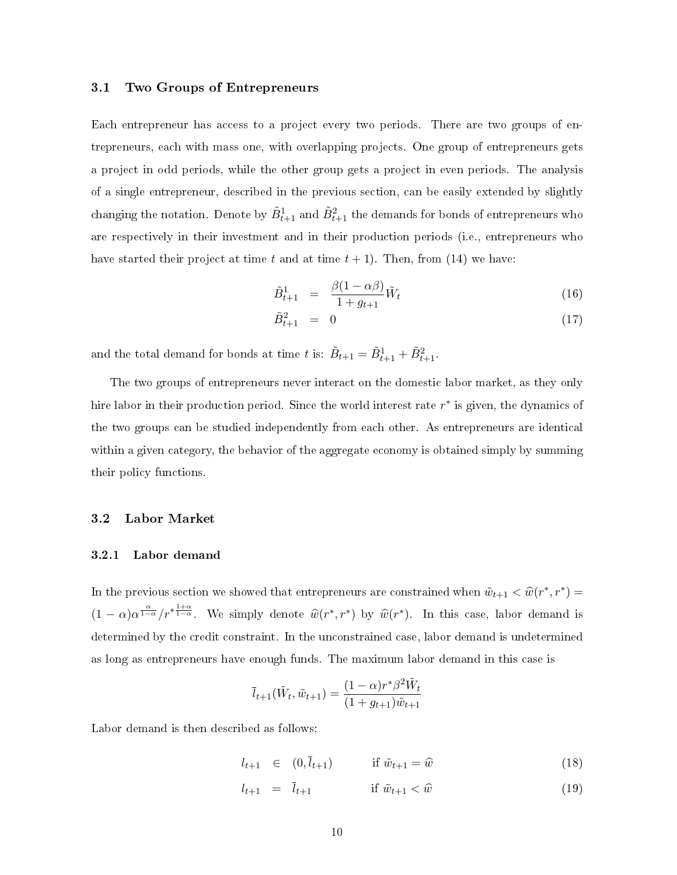#### 3.1 Two Groups of Entrepreneurs

Each entrepreneur has access to a project every two periods. There are two groups of entrepreneurs, each with mass one, with overlapping projects. One group of entrepreneurs gets a project in odd periods, while the other group gets a project in even periods. The analysis of a single entrepreneur, described in the previous section, can be easily extended by slightly changing the notation. Denote by  $\tilde{B}_{t+1}^1$  and  $\tilde{B}_{t+1}^2$  the demands for bonds of entrepreneurs who are respectively in their investment and in their production periods (i.e., entrepreneurs who have started their project at time t and at time  $t + 1$ ). Then, from (14) we have:

$$
\tilde{B}_{t+1}^1 = \frac{\beta(1-\alpha\beta)}{1+g_{t+1}}\tilde{W}_t
$$
\n(16)

$$
\tilde{B}_{t+1}^2 = 0 \tag{17}
$$

and the total demand for bonds at time t is:  $\tilde{B}_{t+1} = \tilde{B}_{t+1}^1 + \tilde{B}_{t+1}^2$ .

The two groups of entrepreneurs never interact on the domestic labor market, as they only hire labor in their production period. Since the world interest rate  $r^*$  is given, the dynamics of the two groups can be studied independently from each other. As entrepreneurs are identical within a given category, the behavior of the aggregate economy is obtained simply by summing their policy functions.

#### 3.2 Labor Market

#### 3.2.1 Labor demand

In the previous section we showed that entrepreneurs are constrained when  $\tilde{w}_{t+1} < \hat{w}(r^*, r^*) =$  $(1-\alpha)\alpha^{\frac{\alpha}{1-\alpha}}/r^{*\frac{1+\alpha}{1-\alpha}}$ . We simply denote  $\hat{w}(r^*, r^*)$  by  $\hat{w}(r^*)$ . In this case, labor demand is determined by the credit constraint. In the unconstrained case, labor demand is undetermined as long as entrepreneurs have enough funds. The maximum labor demand in this case is

$$
\bar{l}_{t+1}(\tilde{W}_t, \tilde{w}_{t+1}) = \frac{(1-\alpha)r^*\beta^2 \tilde{W}_t}{(1+g_{t+1})\tilde{w}_{t+1}}
$$

Labor demand is then described as follows:

$$
l_{t+1} \in (0, \bar{l}_{t+1}) \quad \text{if } \tilde{w}_{t+1} = \hat{w} \tag{18}
$$

$$
l_{t+1} = \bar{l}_{t+1} \qquad \qquad \text{if } \tilde{w}_{t+1} < \hat{w} \tag{19}
$$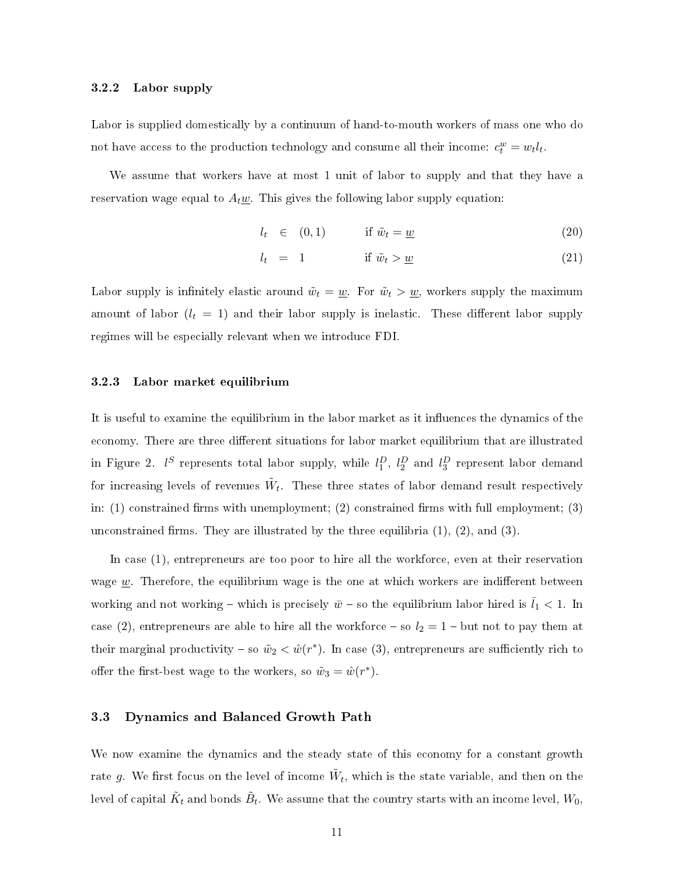#### 3.2.2 Labor supply

Labor is supplied domestically by a continuum of hand-to-mouth workers of mass one who do not have access to the production technology and consume all their income:  $c_t^w = w_t l_t$ .

We assume that workers have at most 1 unit of labor to supply and that they have a reservation wage equal to  $A_t \underline{w}$ . This gives the following labor supply equation:

$$
l_t \in (0,1) \qquad \text{if } \tilde{w}_t = \underline{w} \tag{20}
$$

$$
l_t = 1 \qquad \qquad \text{if } \tilde{w}_t > \underline{w} \tag{21}
$$

Labor supply is infinitely elastic around  $\tilde{w}_t = \underline{w}$ . For  $\tilde{w}_t > \underline{w}$ , workers supply the maximum amount of labor  $(l_t = 1)$  and their labor supply is inelastic. These different labor supply regimes will be especially relevant when we introduce FDI.

#### 3.2.3 Labor market equilibrium

It is useful to examine the equilibrium in the labor market as it influences the dynamics of the economy. There are three different situations for labor market equilibrium that are illustrated in Figure 2.  $l^S$  represents total labor supply, while  $l_1^D$ ,  $l_2^D$  and  $l_3^D$  represent labor demand for increasing levels of revenues  $\tilde{W}_t$ . These three states of labor demand result respectively in:  $(1)$  constrained firms with unemployment;  $(2)$  constrained firms with full employment;  $(3)$ unconstrained firms. They are illustrated by the three equilibria  $(1), (2),$  and  $(3)$ .

In case (1), entrepreneurs are too poor to hire all the workforce, even at their reservation wage  $\underline{w}$ . Therefore, the equilibrium wage is the one at which workers are indifferent between working and not working – which is precisely  $\bar{w}$  – so the equilibrium labor hired is  $\bar{l}_1 < 1$ . In case (2), entrepreneurs are able to hire all the workforce  $-$  so  $l_2 = 1$   $-$  but not to pay them at their marginal productivity – so  $\tilde{w}_2 < \hat{w}(r^*)$ . In case (3), entrepreneurs are sufficiently rich to offer the first-best wage to the workers, so  $\tilde{w}_3 = \hat{w}(r^*)$ .

#### 3.3 Dynamics and Balanced Growth Path

We now examine the dynamics and the steady state of this economy for a constant growth rate  $g$ . We first focus on the level of income  $\tilde{W}_t,$  which is the state variable, and then on the level of capital  $\tilde K_t$  and bonds  $\tilde B_t$ . We assume that the country starts with an income level,  $W_0,$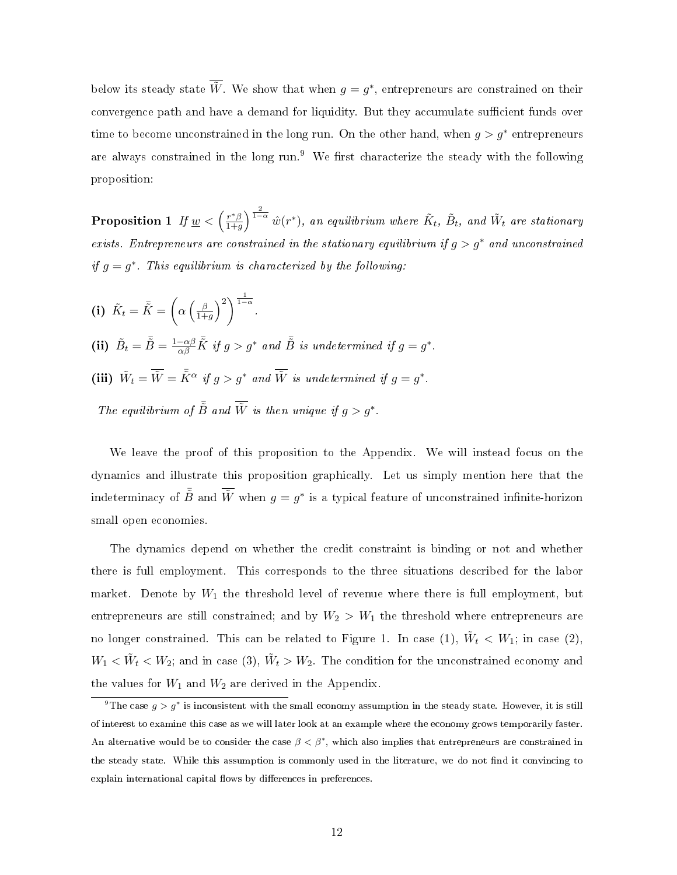below its steady state  $\tilde{W}$ . We show that when  $g=g^* ,$  entrepreneurs are constrained on their convergence path and have a demand for liquidity. But they accumulate sufficient funds over time to become unconstrained in the long run. On the other hand, when  $g > g^*$  entrepreneurs are always constrained in the long run.<sup>9</sup> We first characterize the steady with the following proposition:

Proposition 1 If  $\underline{w}<\left(\frac{r^*\beta}{1+\alpha}\right)$  $\frac{r^*\beta}{1+g}\Big)^{\frac{2}{1-\alpha}} \hat{w}(r^*),$  an equilibrium where  $\tilde{K}_t, \ \tilde{B}_t,$  and  $\tilde{W}_t$  are stationary exists. Entrepreneurs are constrained in the stationary equilibrium if  $g > g^*$  and unconstrained if  $g = g^*$ . This equilibrium is characterized by the following:

(i)  $\tilde{K}_t = \bar{\tilde{K}} = \left( \alpha \left( \frac{\beta}{1 + \alpha} \right) \right)$  $\left(\frac{\beta}{1+g}\right)^2\bigg)^{\frac{1}{1-\alpha}}$ . (ii)  $\tilde{B}_t = \bar{\tilde{B}} = \frac{1-\alpha\beta}{\alpha\beta}\bar{\tilde{K}}$  if  $g > g^*$  and  $\bar{\tilde{B}}$  is undetermined if  $g = g^*$ . (iii)  $\tilde{W}_t = \overline{\tilde{W}} = \overline{\tilde{K}}^{\alpha}$  if  $g > g^*$  and  $\overline{\tilde{W}}$  is undetermined if  $g = g^*$ .

The equilibrium of  $\overline{B}$  and  $\overline{\widetilde{W}}$  is then unique if  $g > g^*$ .

We leave the proof of this proposition to the Appendix. We will instead focus on the dynamics and illustrate this proposition graphically. Let us simply mention here that the indeterminacy of  $\bar{\tilde{B}}$  and  $\overline{\tilde{W}}$  when  $g=g^*$  is a typical feature of unconstrained infinite-horizon small open economies.

The dynamics depend on whether the credit constraint is binding or not and whether there is full employment. This corresponds to the three situations described for the labor market. Denote by  $W_1$  the threshold level of revenue where there is full employment, but entrepreneurs are still constrained; and by  $W_2 > W_1$  the threshold where entrepreneurs are no longer constrained. This can be related to Figure 1. In case (1),  $\tilde{W}_t < W_1$ ; in case (2),  $W_1 < \tilde{W}_t < W_2$ ; and in case (3),  $\tilde{W}_t > W_2$ . The condition for the unconstrained economy and the values for  $W_1$  and  $W_2$  are derived in the Appendix.

<sup>&</sup>lt;sup>9</sup>The case  $g > g^*$  is inconsistent with the small economy assumption in the steady state. However, it is still of interest to examine this case as we will later look at an example where the economy grows temporarily faster. An alternative would be to consider the case  $\beta < \beta^*$ , which also implies that entrepreneurs are constrained in the steady state. While this assumption is commonly used in the literature, we do not find it convincing to explain international capital flows by differences in preferences.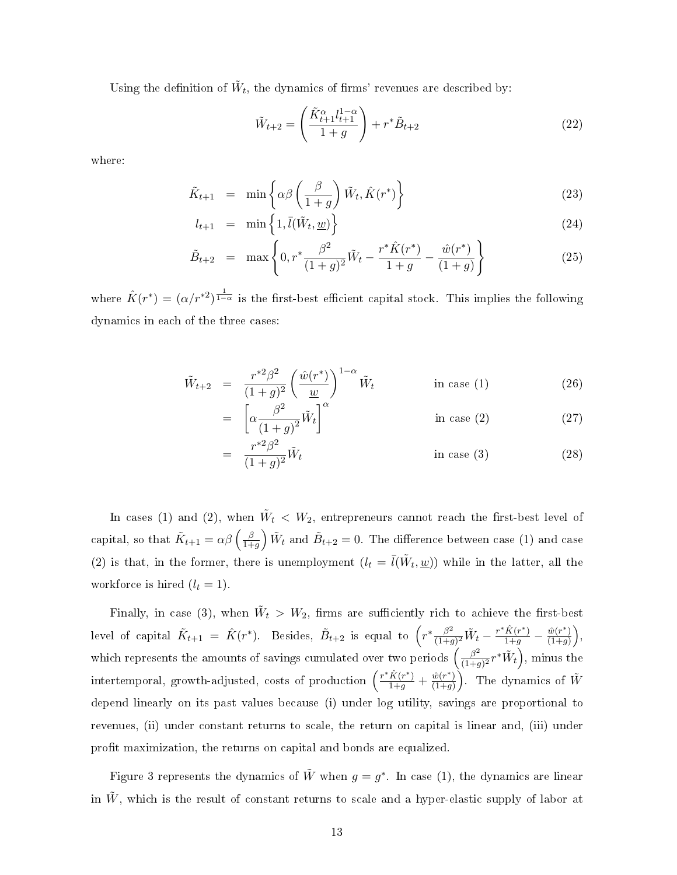Using the definition of  $\tilde{W}_t$ , the dynamics of firms' revenues are described by:

$$
\tilde{W}_{t+2} = \left(\frac{\tilde{K}_{t+1}^{\alpha} l_{t+1}^{1-\alpha}}{1+g}\right) + r^* \tilde{B}_{t+2}
$$
\n(22)

where:

$$
\tilde{K}_{t+1} = \min \left\{ \alpha \beta \left( \frac{\beta}{1+g} \right) \tilde{W}_t, \hat{K}(r^*) \right\} \tag{23}
$$

$$
l_{t+1} = \min\left\{1, \bar{l}(\tilde{W}_t, \underline{w})\right\} \tag{24}
$$

$$
\tilde{B}_{t+2} = \max \left\{ 0, r^* \frac{\beta^2}{(1+g)^2} \tilde{W}_t - \frac{r^* \hat{K}(r^*)}{1+g} - \frac{\hat{w}(r^*)}{(1+g)} \right\}
$$
\n(25)

where  $\hat{K}(r^*) = (\alpha/r^{*2})^{\frac{1}{1-\alpha}}$  is the first-best efficient capital stock. This implies the following dynamics in each of the three cases:

$$
\tilde{W}_{t+2} = \frac{r^{*2}\beta^2}{(1+g)^2} \left(\frac{\hat{w}(r^*)}{\underline{w}}\right)^{1-\alpha} \tilde{W}_t \qquad \text{in case (1)}
$$
\n(26)

$$
= \left[ \alpha \frac{\beta^2}{(1+g)^2} \tilde{W}_t \right]^\alpha \qquad \text{in case (2)}
$$
 (27)

$$
= \frac{r^{*2}\beta^2}{(1+g)^2}\tilde{W}_t \qquad \text{in case (3)}
$$
 (28)

In cases (1) and (2), when  $\tilde{W}_t$  <  $W_2$ , entrepreneurs cannot reach the first-best level of capital, so that  $\tilde{K}_{t+1} = \alpha \beta \left( \frac{\beta}{1 + \beta} \right)$  $\frac{\beta}{1+g}$   $\bigvee \tilde{W}_t$  and  $\tilde{B}_{t+2} = 0$ . The difference between case (1) and case (2) is that, in the former, there is unemployment  $(l_t = \overline{l}(\tilde{W}_t, \underline{w}))$  while in the latter, all the workforce is hired  $(l_t = 1)$ .

Finally, in case (3), when  $\tilde{W}_t > W_2$ , firms are sufficiently rich to achieve the first-best level of capital  $\tilde{K}_{t+1} = \hat{K}(r^*)$ . Besides,  $\tilde{B}_{t+2}$  is equal to  $\left(r^*\frac{\beta^2}{(1+r^2)^2}\right)$  $\frac{\beta^2}{(1+g)^2}\tilde{W}_t - \frac{r^*\hat{K}(r^*)}{1+g} - \frac{\hat{w}(r^*)}{(1+g)}$  $\frac{\hat{w}(r^*)}{(1+g)}\bigg),$ which represents the amounts of savings cumulated over two periods  $\left(\frac{\beta^2}{(1+\epsilon)^2}\right)$  $\frac{\beta^2}{(1+g)^2} r^* \tilde{W}_t$ , minus the intertemporal, growth-adjusted, costs of production  $\left(\frac{r^*\hat{K}(r^*)}{1+g} + \frac{\hat{w}(r^*)}{(1+g)}\right)$  $\frac{\hat{w}(r^*)}{(1+g)}$ . The dynamics of  $\tilde{W}$ depend linearly on its past values because (i) under log utility, savings are proportional to revenues, (ii) under constant returns to scale, the return on capital is linear and, (iii) under profit maximization, the returns on capital and bonds are equalized.

Figure 3 represents the dynamics of  $\tilde{W}$  when  $g=g^*$ . In case (1), the dynamics are linear in  $\tilde{W}$ , which is the result of constant returns to scale and a hyper-elastic supply of labor at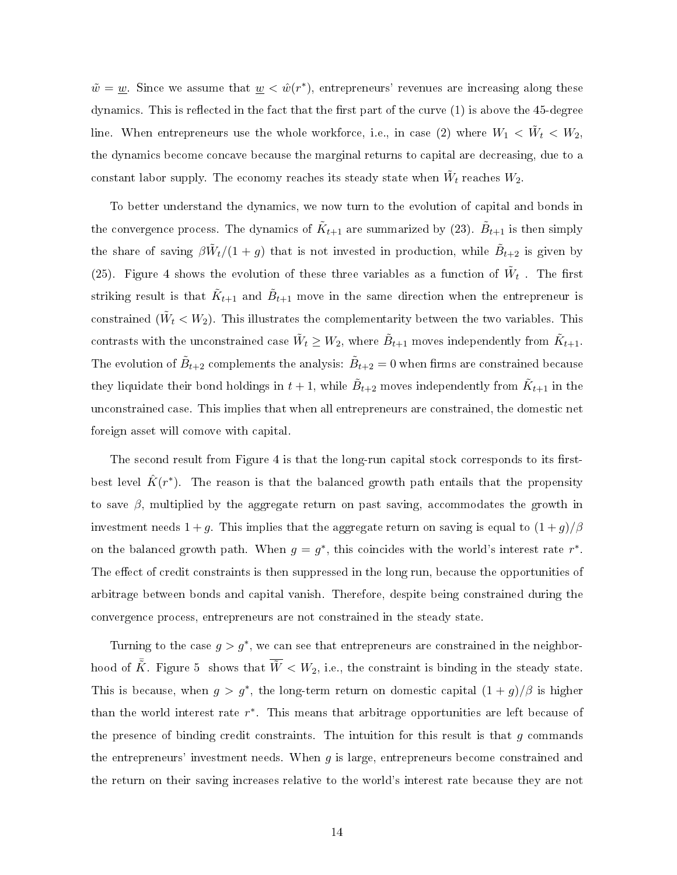$\tilde{w} = \underline{w}$ . Since we assume that  $\underline{w} < \hat{w}(r^*)$ , entrepreneurs' revenues are increasing along these dynamics. This is reflected in the fact that the first part of the curve  $(1)$  is above the 45-degree line. When entrepreneurs use the whole workforce, i.e., in case (2) where  $W_1\,<\,\tilde W_t\,<\,W_2,$ the dynamics become concave because the marginal returns to capital are decreasing, due to a constant labor supply. The economy reaches its steady state when  $\tilde{W}_t$  reaches  $W_2.$ 

To better understand the dynamics, we now turn to the evolution of capital and bonds in the convergence process. The dynamics of  $\tilde K_{t+1}$  are summarized by (23).  $\tilde B_{t+1}$  is then simply the share of saving  $\beta \tilde{W}_t/(1+g)$  that is not invested in production, while  $\tilde{B}_{t+2}$  is given by (25). Figure 4 shows the evolution of these three variables as a function of  $\tilde{W}_t$  . The first striking result is that  $\tilde{K}_{t+1}$  and  $\tilde{B}_{t+1}$  move in the same direction when the entrepreneur is constrained  $(\tilde{W}_t < W_2)$ . This illustrates the complementarity between the two variables. This contrasts with the unconstrained case  $\tilde{W}_t\geq W_2,$  where  $\tilde{B}_{t+1}$  moves independently from  $\tilde{K}_{t+1}.$ The evolution of  $\tilde{B}_{t+2}$  complements the analysis:  $\tilde{B}_{t+2}=0$  when firms are constrained because they liquidate their bond holdings in  $t+1,$  while  $\tilde{B}_{t+2}$  moves independently from  $\tilde{K}_{t+1}$  in the unconstrained case. This implies that when all entrepreneurs are constrained, the domestic net foreign asset will comove with capital.

The second result from Figure 4 is that the long-run capital stock corresponds to its firstbest level  $\hat{K}(r^{*})$ . The reason is that the balanced growth path entails that the propensity to save  $\beta$ , multiplied by the aggregate return on past saving, accommodates the growth in investment needs  $1 + g$ . This implies that the aggregate return on saving is equal to  $(1 + g)/\beta$ on the balanced growth path. When  $g = g^*$ , this coincides with the world's interest rate  $r^*$ . The effect of credit constraints is then suppressed in the long run, because the opportunities of arbitrage between bonds and capital vanish. Therefore, despite being constrained during the convergence process, entrepreneurs are not constrained in the steady state.

Turning to the case  $g > g^*$ , we can see that entrepreneurs are constrained in the neighborhood of  $\tilde{K}$ . Figure 5 shows that  $\overline{\tilde{W}} < W_2$ , i.e., the constraint is binding in the steady state. This is because, when  $g > g^*$ , the long-term return on domestic capital  $(1 + g)/\beta$  is higher than the world interest rate  $r^*$ . This means that arbitrage opportunities are left because of the presence of binding credit constraints. The intuition for this result is that  $q$  commands the entrepreneurs' investment needs. When  $q$  is large, entrepreneurs become constrained and the return on their saving increases relative to the world's interest rate because they are not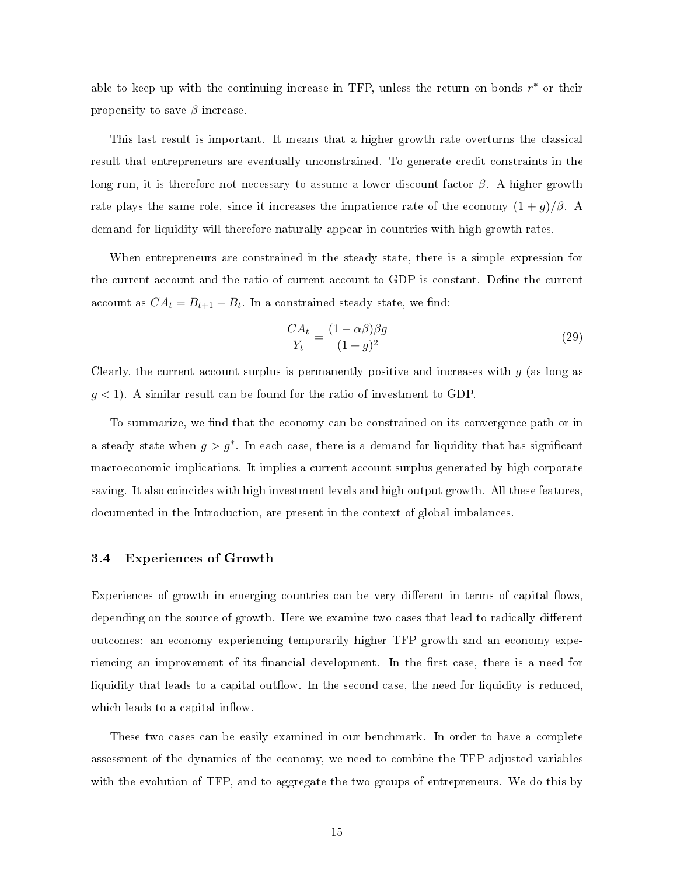able to keep up with the continuing increase in TFP, unless the return on bonds  $r^*$  or their propensity to save  $\beta$  increase.

This last result is important. It means that a higher growth rate overturns the classical result that entrepreneurs are eventually unconstrained. To generate credit constraints in the long run, it is therefore not necessary to assume a lower discount factor  $\beta$ . A higher growth rate plays the same role, since it increases the impatience rate of the economy  $(1 + g)/\beta$ . A demand for liquidity will therefore naturally appear in countries with high growth rates.

When entrepreneurs are constrained in the steady state, there is a simple expression for the current account and the ratio of current account to GDP is constant. Define the current account as  $CA_t = B_{t+1} - B_t$ . In a constrained steady state, we find:

$$
\frac{CA_t}{Y_t} = \frac{(1 - \alpha\beta)\beta g}{(1 + g)^2} \tag{29}
$$

Clearly, the current account surplus is permanently positive and increases with  $g$  (as long as  $g < 1$ ). A similar result can be found for the ratio of investment to GDP.

To summarize, we find that the economy can be constrained on its convergence path or in a steady state when  $g > g^*$ . In each case, there is a demand for liquidity that has significant macroeconomic implications. It implies a current account surplus generated by high corporate saving. It also coincides with high investment levels and high output growth. All these features, documented in the Introduction, are present in the context of global imbalances.

#### 3.4 Experiences of Growth

Experiences of growth in emerging countries can be very different in terms of capital flows. depending on the source of growth. Here we examine two cases that lead to radically different outcomes: an economy experiencing temporarily higher TFP growth and an economy experiencing an improvement of its financial development. In the first case, there is a need for liquidity that leads to a capital outflow. In the second case, the need for liquidity is reduced, which leads to a capital inflow.

These two cases can be easily examined in our benchmark. In order to have a complete assessment of the dynamics of the economy, we need to combine the TFP-adjusted variables with the evolution of TFP, and to aggregate the two groups of entrepreneurs. We do this by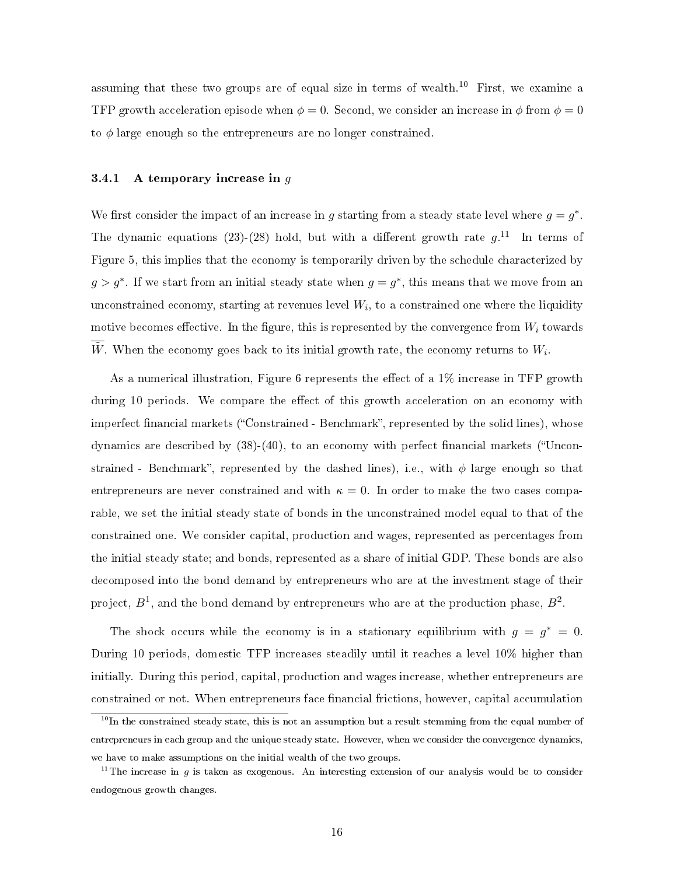assuming that these two groups are of equal size in terms of wealth.<sup>10</sup> First, we examine a TFP growth acceleration episode when  $\phi = 0$ . Second, we consider an increase in  $\phi$  from  $\phi = 0$ to  $\phi$  large enough so the entrepreneurs are no longer constrained.

#### 3.4.1 A temporary increase in  $g$

We first consider the impact of an increase in g starting from a steady state level where  $g = g^*$ . The dynamic equations (23)-(28) hold, but with a different growth rate  $g$ .<sup>11</sup> In terms of Figure 5, this implies that the economy is temporarily driven by the schedule characterized by  $g > g^*$ . If we start from an initial steady state when  $g = g^*$ , this means that we move from an unconstrained economy, starting at revenues level  $W_i,$  to a constrained one where the liquidity motive becomes effective. In the figure, this is represented by the convergence from  $W_i$  towards  $\tilde{W}$ . When the economy goes back to its initial growth rate, the economy returns to  $W_i$ .

As a numerical illustration, Figure 6 represents the effect of a  $1\%$  increase in TFP growth during 10 periods. We compare the effect of this growth acceleration on an economy with imperfect financial markets ("Constrained - Benchmark", represented by the solid lines), whose dynamics are described by  $(38)-(40)$ , to an economy with perfect financial markets ("Unconstrained - Benchmark", represented by the dashed lines), i.e., with  $\phi$  large enough so that entrepreneurs are never constrained and with  $\kappa = 0$ . In order to make the two cases comparable, we set the initial steady state of bonds in the unconstrained model equal to that of the constrained one. We consider capital, production and wages, represented as percentages from the initial steady state; and bonds, represented as a share of initial GDP. These bonds are also decomposed into the bond demand by entrepreneurs who are at the investment stage of their project,  $B^1$ , and the bond demand by entrepreneurs who are at the production phase,  $B^2$ .

The shock occurs while the economy is in a stationary equilibrium with  $g = g^* = 0$ . During 10 periods, domestic TFP increases steadily until it reaches a level 10% higher than initially. During this period, capital, production and wages increase, whether entrepreneurs are constrained or not. When entrepreneurs face financial frictions, however, capital accumulation

 $10$ In the constrained steady state, this is not an assumption but a result stemming from the equal number of entrepreneurs in each group and the unique steady state. However, when we consider the convergence dynamics, we have to make assumptions on the initial wealth of the two groups.

<sup>&</sup>lt;sup>11</sup>The increase in  $g$  is taken as exogenous. An interesting extension of our analysis would be to consider endogenous growth changes.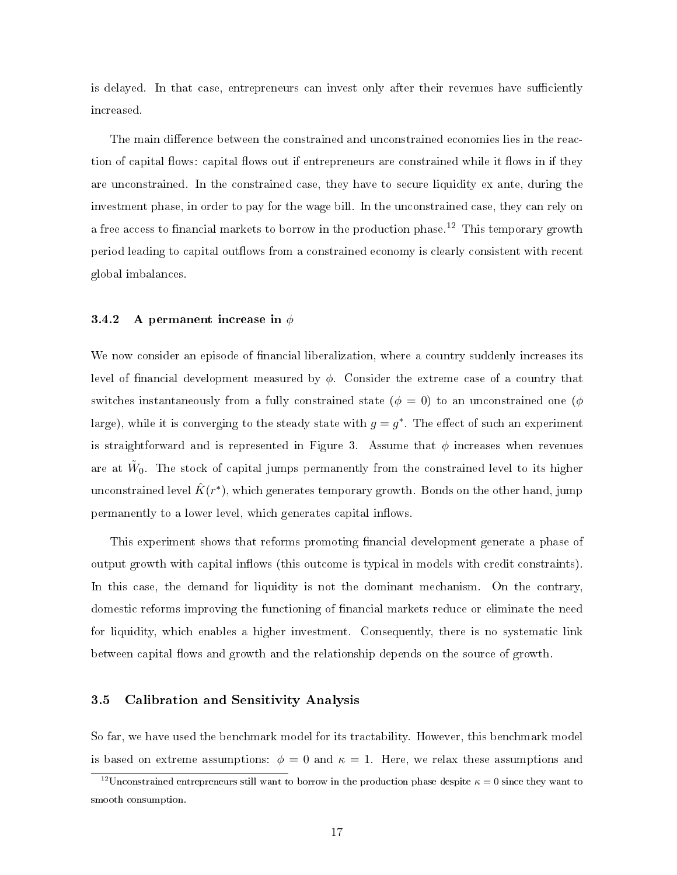is delayed. In that case, entrepreneurs can invest only after their revenues have sufficiently increased.

The main difference between the constrained and unconstrained economies lies in the reaction of capital flows: capital flows out if entrepreneurs are constrained while it flows in if they are unconstrained. In the constrained case, they have to secure liquidity ex ante, during the investment phase, in order to pay for the wage bill. In the unconstrained case, they can rely on a free access to financial markets to borrow in the production phase.<sup>12</sup> This temporary growth period leading to capital outflows from a constrained economy is clearly consistent with recent global imbalances.

#### 3.4.2 A permanent increase in  $\phi$

We now consider an episode of financial liberalization, where a country suddenly increases its level of financial development measured by  $\phi$ . Consider the extreme case of a country that switches instantaneously from a fully constrained state ( $\phi = 0$ ) to an unconstrained one ( $\phi$ large), while it is converging to the steady state with  $g = g^*$ . The effect of such an experiment is straightforward and is represented in Figure 3. Assume that  $\phi$  increases when revenues are at  $\tilde{W}_0$ . The stock of capital jumps permanently from the constrained level to its higher unconstrained level  $\hat{K}(r^{*}),$  which generates temporary growth. Bonds on the other hand, jump permanently to a lower level, which generates capital inflows.

This experiment shows that reforms promoting financial development generate a phase of output growth with capital inflows (this outcome is typical in models with credit constraints). In this case, the demand for liquidity is not the dominant mechanism. On the contrary, domestic reforms improving the functioning of nancial markets reduce or eliminate the need for liquidity, which enables a higher investment. Consequently, there is no systematic link between capital flows and growth and the relationship depends on the source of growth.

#### 3.5 Calibration and Sensitivity Analysis

So far, we have used the benchmark model for its tractability. However, this benchmark model is based on extreme assumptions:  $\phi = 0$  and  $\kappa = 1$ . Here, we relax these assumptions and

<sup>&</sup>lt;sup>12</sup>Unconstrained entrepreneurs still want to borrow in the production phase despite  $\kappa = 0$  since they want to smooth consumption.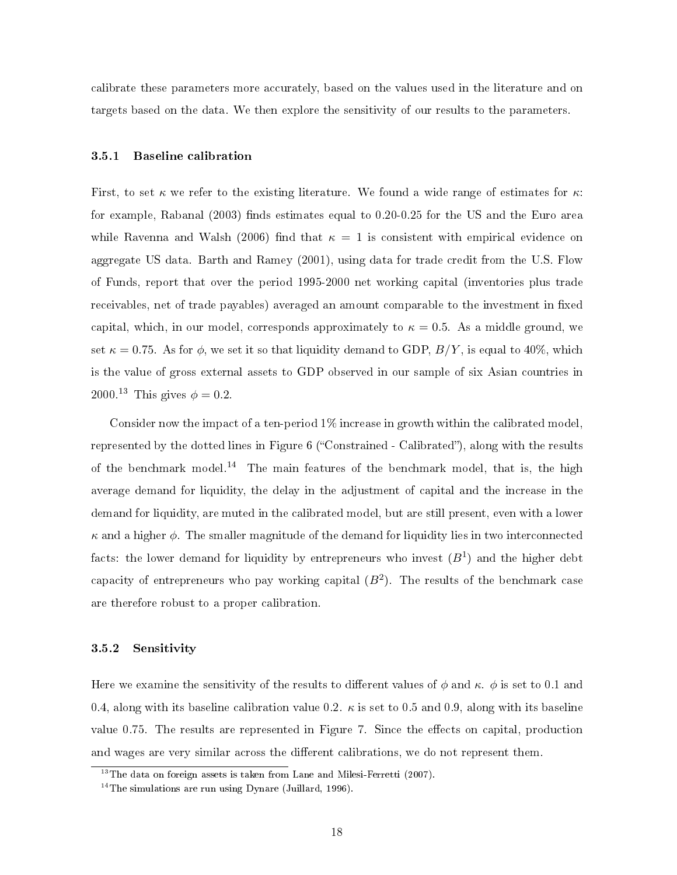calibrate these parameters more accurately, based on the values used in the literature and on targets based on the data. We then explore the sensitivity of our results to the parameters.

#### 3.5.1 Baseline calibration

First, to set  $\kappa$  we refer to the existing literature. We found a wide range of estimates for  $\kappa$ : for example, Rabanal  $(2003)$  finds estimates equal to 0.20-0.25 for the US and the Euro area while Ravenna and Walsh (2006) find that  $\kappa = 1$  is consistent with empirical evidence on aggregate US data. Barth and Ramey (2001), using data for trade credit from the U.S. Flow of Funds, report that over the period 1995-2000 net working capital (inventories plus trade receivables, net of trade payables) averaged an amount comparable to the investment in fixed capital, which, in our model, corresponds approximately to  $\kappa = 0.5$ . As a middle ground, we set  $\kappa = 0.75$ . As for  $\phi$ , we set it so that liquidity demand to GDP,  $B/Y$ , is equal to 40%, which is the value of gross external assets to GDP observed in our sample of six Asian countries in 2000.<sup>13</sup> This gives  $\phi = 0.2$ .

Consider now the impact of a ten-period 1% increase in growth within the calibrated model, represented by the dotted lines in Figure 6 ("Constrained - Calibrated"), along with the results of the benchmark model.<sup>14</sup> The main features of the benchmark model, that is, the high average demand for liquidity, the delay in the adjustment of capital and the increase in the demand for liquidity, are muted in the calibrated model, but are still present, even with a lower  $\kappa$  and a higher  $\phi$ . The smaller magnitude of the demand for liquidity lies in two interconnected facts: the lower demand for liquidity by entrepreneurs who invest  $(B^1)$  and the higher debt capacity of entrepreneurs who pay working capital  $(B^2)$ . The results of the benchmark case are therefore robust to a proper calibration.

#### 3.5.2 Sensitivity

Here we examine the sensitivity of the results to different values of  $\phi$  and  $\kappa$ .  $\phi$  is set to 0.1 and 0.4, along with its baseline calibration value 0.2.  $\kappa$  is set to 0.5 and 0.9, along with its baseline value 0.75. The results are represented in Figure 7. Since the effects on capital, production and wages are very similar across the different calibrations, we do not represent them.

<sup>&</sup>lt;sup>13</sup>The data on foreign assets is taken from Lane and Milesi-Ferretti (2007).

<sup>&</sup>lt;sup>14</sup>The simulations are run using Dynare (Juillard, 1996).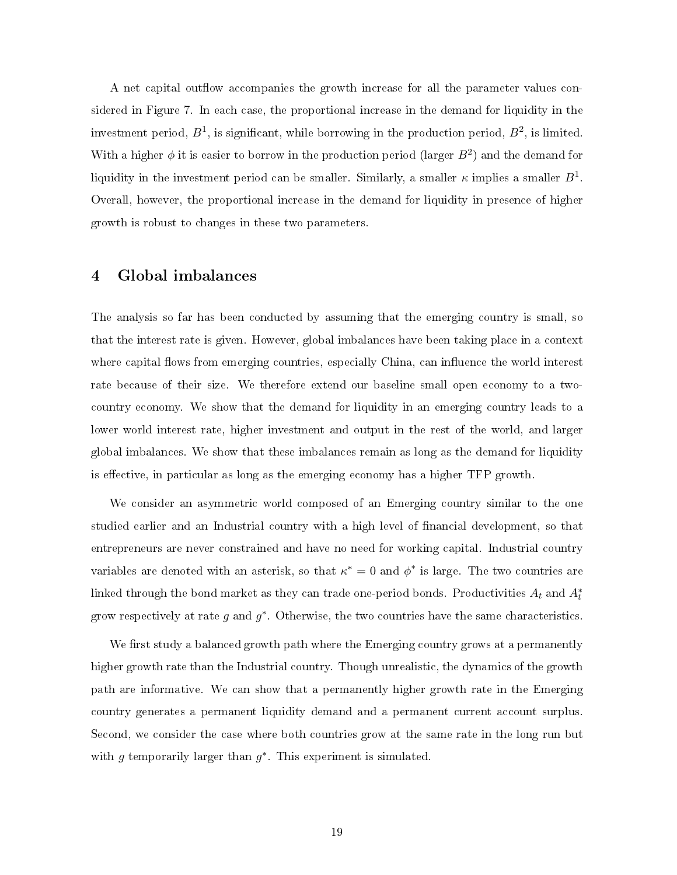A net capital outflow accompanies the growth increase for all the parameter values considered in Figure 7. In each case, the proportional increase in the demand for liquidity in the investment period,  $B^1$ , is significant, while borrowing in the production period,  $B^2$ , is limited. With a higher  $\phi$  it is easier to borrow in the production period (larger  $B^2$ ) and the demand for liquidity in the investment period can be smaller. Similarly, a smaller  $\kappa$  implies a smaller  $B^1$ . Overall, however, the proportional increase in the demand for liquidity in presence of higher growth is robust to changes in these two parameters.

## 4 Global imbalances

The analysis so far has been conducted by assuming that the emerging country is small, so that the interest rate is given. However, global imbalances have been taking place in a context where capital flows from emerging countries, especially China, can influence the world interest rate because of their size. We therefore extend our baseline small open economy to a twocountry economy. We show that the demand for liquidity in an emerging country leads to a lower world interest rate, higher investment and output in the rest of the world, and larger global imbalances. We show that these imbalances remain as long as the demand for liquidity is effective, in particular as long as the emerging economy has a higher TFP growth.

We consider an asymmetric world composed of an Emerging country similar to the one studied earlier and an Industrial country with a high level of nancial development, so that entrepreneurs are never constrained and have no need for working capital. Industrial country variables are denoted with an asterisk, so that  $\kappa^* = 0$  and  $\phi^*$  is large. The two countries are linked through the bond market as they can trade one-period bonds. Productivities  $A_t$  and  $A_t^*$ grow respectively at rate  $g$  and  $g^*$ . Otherwise, the two countries have the same characteristics.

We first study a balanced growth path where the Emerging country grows at a permanently higher growth rate than the Industrial country. Though unrealistic, the dynamics of the growth path are informative. We can show that a permanently higher growth rate in the Emerging country generates a permanent liquidity demand and a permanent current account surplus. Second, we consider the case where both countries grow at the same rate in the long run but with  $g$  temporarily larger than  $g^*$ . This experiment is simulated.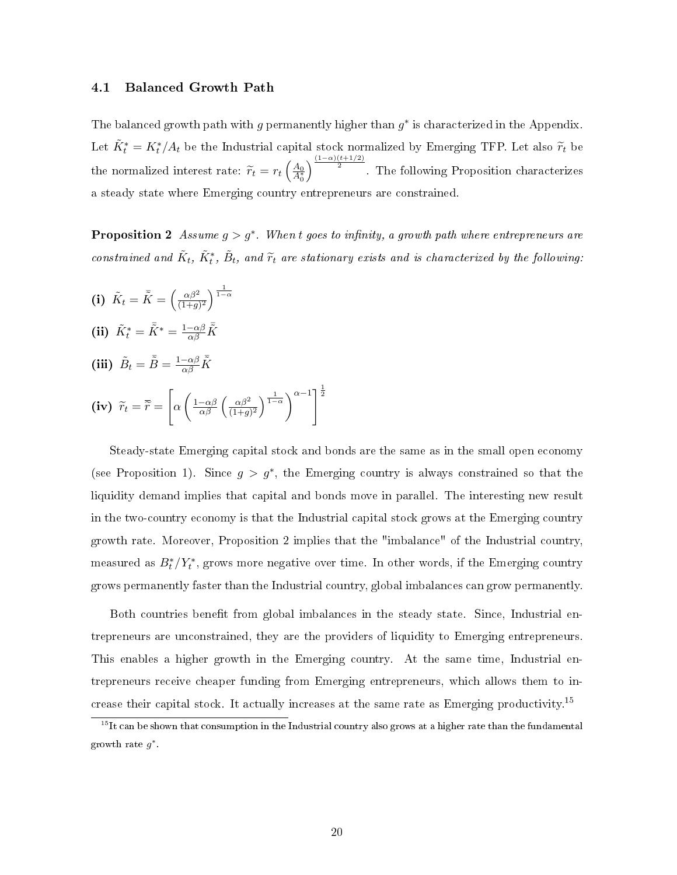#### 4.1 Balanced Growth Path

The balanced growth path with g permanently higher than  $g^*$  is characterized in the Appendix. Let  $\tilde{K}_t^* = K_t^* / A_t$  be the Industrial capital stock normalized by Emerging TFP. Let also  $\tilde{r}_t$  be the normalized interest rate:  $\widetilde{r}_t = r_t \left( \frac{A_0}{A_0^*} \right)$  $\int_{0}^{\frac{(1-\alpha)(t+1/2)}{2}}$ . The following Proposition characterizes a steady state where Emerging country entrepreneurs are constrained.

**Proposition 2** Assume  $g > g^*$ . When t goes to infinity, a growth path where entrepreneurs are constrained and  $\tilde{K}_t$ ,  $\tilde{K}_t^*$ ,  $\tilde{B}_t$ , and  $\tilde{r}_t$  are stationary exists and is characterized by the following:

(i)  $\tilde{K}_t = \bar{\tilde{K}} = \left(\frac{\alpha \beta^2}{(1+a)}\right)$  $\frac{\alpha\beta^2}{(1+g)^2}\bigg)^{\frac{1}{1-\alpha}}$ 

(ii) 
$$
\tilde{K}_t^* = \bar{\tilde{K}}^* = \frac{1-\alpha\beta}{\alpha\beta}\bar{\tilde{K}}
$$

(iii)  $\tilde{B}_t = \bar{\tilde{B}} = \frac{1-\alpha\beta}{\alpha\beta}\bar{\tilde{K}}$ 

$$
\text{(iv)}\ \widetilde{r}_t = \overline{\widetilde{r}} = \left[\alpha \left(\frac{1-\alpha\beta}{\alpha\beta} \left(\frac{\alpha\beta^2}{(1+g)^2}\right)^{\frac{1}{1-\alpha}}\right)^{\alpha-1}\right]^{\frac{1}{2}}
$$

Steady-state Emerging capital stock and bonds are the same as in the small open economy (see Proposition 1). Since  $g > g^*$ , the Emerging country is always constrained so that the liquidity demand implies that capital and bonds move in parallel. The interesting new result in the two-country economy is that the Industrial capital stock grows at the Emerging country growth rate. Moreover, Proposition 2 implies that the "imbalance" of the Industrial country, measured as  $B_t^*/Y_t^*$ , grows more negative over time. In other words, if the Emerging country grows permanently faster than the Industrial country, global imbalances can grow permanently.

Both countries benefit from global imbalances in the steady state. Since, Industrial entrepreneurs are unconstrained, they are the providers of liquidity to Emerging entrepreneurs. This enables a higher growth in the Emerging country. At the same time, Industrial entrepreneurs receive cheaper funding from Emerging entrepreneurs, which allows them to increase their capital stock. It actually increases at the same rate as Emerging productivity.<sup>15</sup>

<sup>&</sup>lt;sup>15</sup>It can be shown that consumption in the Industrial country also grows at a higher rate than the fundamental growth rate  $g^*$ .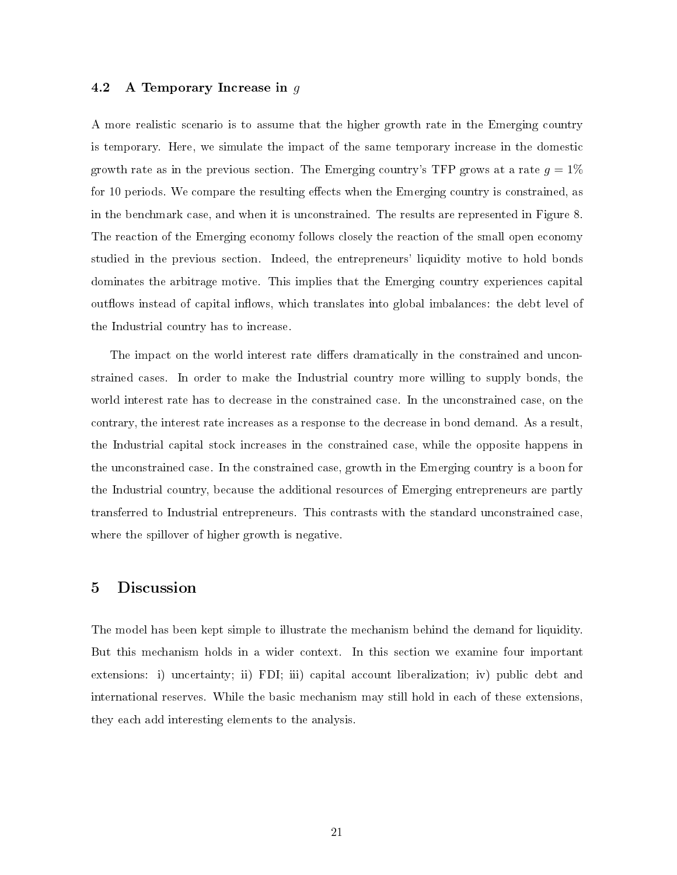#### 4.2 A Temporary Increase in g

A more realistic scenario is to assume that the higher growth rate in the Emerging country is temporary. Here, we simulate the impact of the same temporary increase in the domestic growth rate as in the previous section. The Emerging country's TFP grows at a rate  $g = 1\%$ for 10 periods. We compare the resulting effects when the Emerging country is constrained, as in the benchmark case, and when it is unconstrained. The results are represented in Figure 8. The reaction of the Emerging economy follows closely the reaction of the small open economy studied in the previous section. Indeed, the entrepreneurs' liquidity motive to hold bonds dominates the arbitrage motive. This implies that the Emerging country experiences capital outflows instead of capital inflows, which translates into global imbalances: the debt level of the Industrial country has to increase.

The impact on the world interest rate differs dramatically in the constrained and unconstrained cases. In order to make the Industrial country more willing to supply bonds, the world interest rate has to decrease in the constrained case. In the unconstrained case, on the contrary, the interest rate increases as a response to the decrease in bond demand. As a result, the Industrial capital stock increases in the constrained case, while the opposite happens in the unconstrained case. In the constrained case, growth in the Emerging country is a boon for the Industrial country, because the additional resources of Emerging entrepreneurs are partly transferred to Industrial entrepreneurs. This contrasts with the standard unconstrained case, where the spillover of higher growth is negative.

## 5 Discussion

The model has been kept simple to illustrate the mechanism behind the demand for liquidity. But this mechanism holds in a wider context. In this section we examine four important extensions: i) uncertainty; ii) FDI; iii) capital account liberalization; iv) public debt and international reserves. While the basic mechanism may still hold in each of these extensions, they each add interesting elements to the analysis.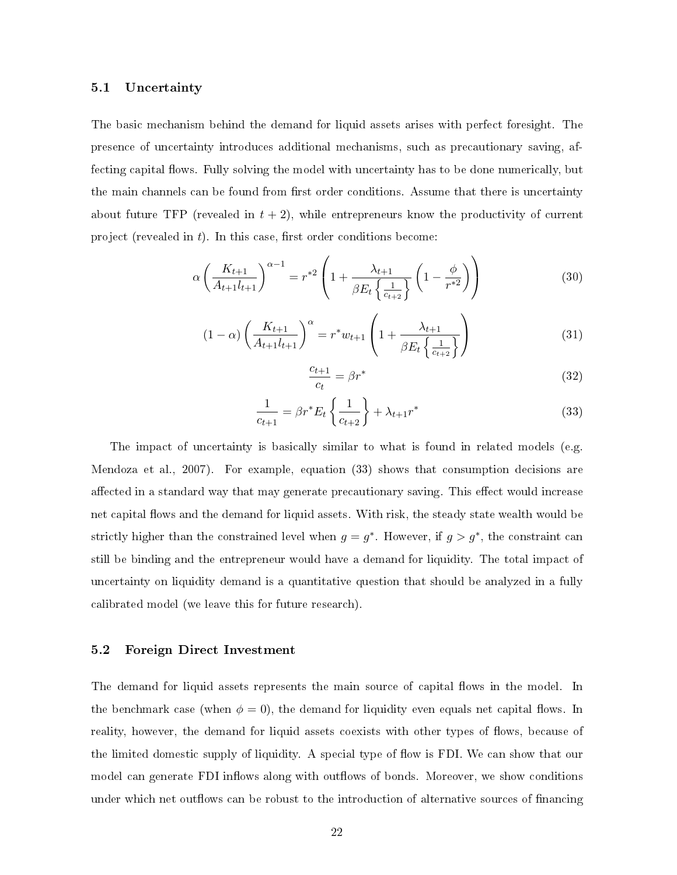#### 5.1 Uncertainty

The basic mechanism behind the demand for liquid assets arises with perfect foresight. The presence of uncertainty introduces additional mechanisms, such as precautionary saving, affecting capital flows. Fully solving the model with uncertainty has to be done numerically, but the main channels can be found from first order conditions. Assume that there is uncertainty about future TFP (revealed in  $t + 2$ ), while entrepreneurs know the productivity of current project (revealed in  $t$ ). In this case, first order conditions become:

$$
\alpha \left( \frac{K_{t+1}}{A_{t+1} l_{t+1}} \right)^{\alpha - 1} = r^{*2} \left( 1 + \frac{\lambda_{t+1}}{\beta E_t \left\{ \frac{1}{c_{t+2}} \right\}} \left( 1 - \frac{\phi}{r^{*2}} \right) \right)
$$
(30)

$$
(1 - \alpha) \left(\frac{K_{t+1}}{A_{t+1}l_{t+1}}\right)^{\alpha} = r^* w_{t+1} \left(1 + \frac{\lambda_{t+1}}{\beta E_t \left\{\frac{1}{c_{t+2}}\right\}}\right)
$$
(31)

$$
\frac{c_{t+1}}{c_t} = \beta r^* \tag{32}
$$

$$
\frac{1}{c_{t+1}} = \beta r^* E_t \left\{ \frac{1}{c_{t+2}} \right\} + \lambda_{t+1} r^* \tag{33}
$$

The impact of uncertainty is basically similar to what is found in related models (e.g. Mendoza et al., 2007). For example, equation (33) shows that consumption decisions are affected in a standard way that may generate precautionary saving. This effect would increase net capital flows and the demand for liquid assets. With risk, the steady state wealth would be strictly higher than the constrained level when  $g = g^*$ . However, if  $g > g^*$ , the constraint can still be binding and the entrepreneur would have a demand for liquidity. The total impact of uncertainty on liquidity demand is a quantitative question that should be analyzed in a fully calibrated model (we leave this for future research).

#### 5.2 Foreign Direct Investment

The demand for liquid assets represents the main source of capital flows in the model. In the benchmark case (when  $\phi = 0$ ), the demand for liquidity even equals net capital flows. In reality, however, the demand for liquid assets coexists with other types of flows, because of the limited domestic supply of liquidity. A special type of flow is FDI. We can show that our model can generate FDI inflows along with outflows of bonds. Moreover, we show conditions under which net outflows can be robust to the introduction of alternative sources of financing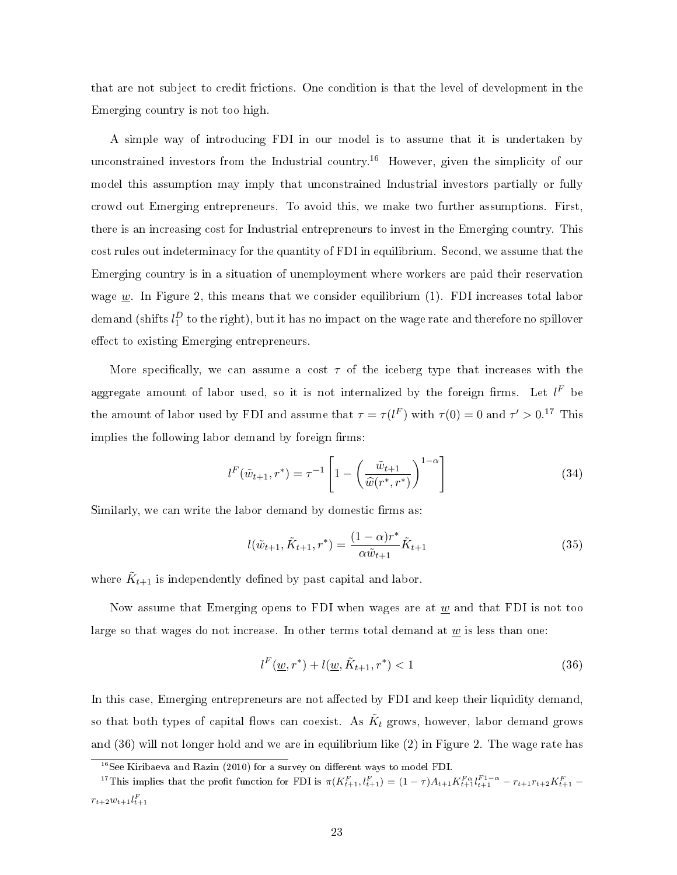that are not subject to credit frictions. One condition is that the level of development in the Emerging country is not too high.

A simple way of introducing FDI in our model is to assume that it is undertaken by unconstrained investors from the Industrial country.<sup>16</sup> However, given the simplicity of our model this assumption may imply that unconstrained Industrial investors partially or fully crowd out Emerging entrepreneurs. To avoid this, we make two further assumptions. First, there is an increasing cost for Industrial entrepreneurs to invest in the Emerging country. This cost rules out indeterminacy for the quantity of FDI in equilibrium. Second, we assume that the Emerging country is in a situation of unemployment where workers are paid their reservation wage w. In Figure 2, this means that we consider equilibrium  $(1)$ . FDI increases total labor demand (shifts  $l_1^D$  to the right), but it has no impact on the wage rate and therefore no spillover effect to existing Emerging entrepreneurs.

More specifically, we can assume a cost  $\tau$  of the iceberg type that increases with the aggregate amount of labor used, so it is not internalized by the foreign firms. Let  $l^F$  be the amount of labor used by FDI and assume that  $\tau = \tau(l^F)$  with  $\tau(0) = 0$  and  $\tau' > 0$ .<sup>17</sup> This implies the following labor demand by foreign firms:

$$
l^{F}(\tilde{w}_{t+1}, r^{*}) = \tau^{-1} \left[ 1 - \left( \frac{\tilde{w}_{t+1}}{\hat{w}(r^{*}, r^{*})} \right)^{1-\alpha} \right]
$$
(34)

Similarly, we can write the labor demand by domestic firms as:

$$
l(\tilde{w}_{t+1}, \tilde{K}_{t+1}, r^*) = \frac{(1-\alpha)r^*}{\alpha \tilde{w}_{t+1}} \tilde{K}_{t+1}
$$
\n(35)

where  $\tilde{K}_{t+1}$  is independently defined by past capital and labor.

Now assume that Emerging opens to FDI when wages are at  $w$  and that FDI is not too large so that wages do not increase. In other terms total demand at  $w$  is less than one:

$$
l^{F}(\underline{w}, r^{*}) + l(\underline{w}, \tilde{K}_{t+1}, r^{*}) < 1\tag{36}
$$

In this case, Emerging entrepreneurs are not affected by FDI and keep their liquidity demand. so that both types of capital flows can coexist. As  $\tilde K_t$  grows, however, labor demand grows and (36) will not longer hold and we are in equilibrium like (2) in Figure 2. The wage rate has

 $^{16}$ See Kiribaeva and Razin (2010) for a survey on different ways to model FDI.

<sup>&</sup>lt;sup>17</sup>This implies that the profit function for FDI is  $\pi(K_{t+1}^F, l_{t+1}^F) = (1 - \tau)A_{t+1}K_{t+1}^Fa_tl_{t+1}^{F1-a} - r_{t+1}r_{t+2}K_{t+1}^F$  $r_{t+2}w_{t+1}l_{t+1}^F$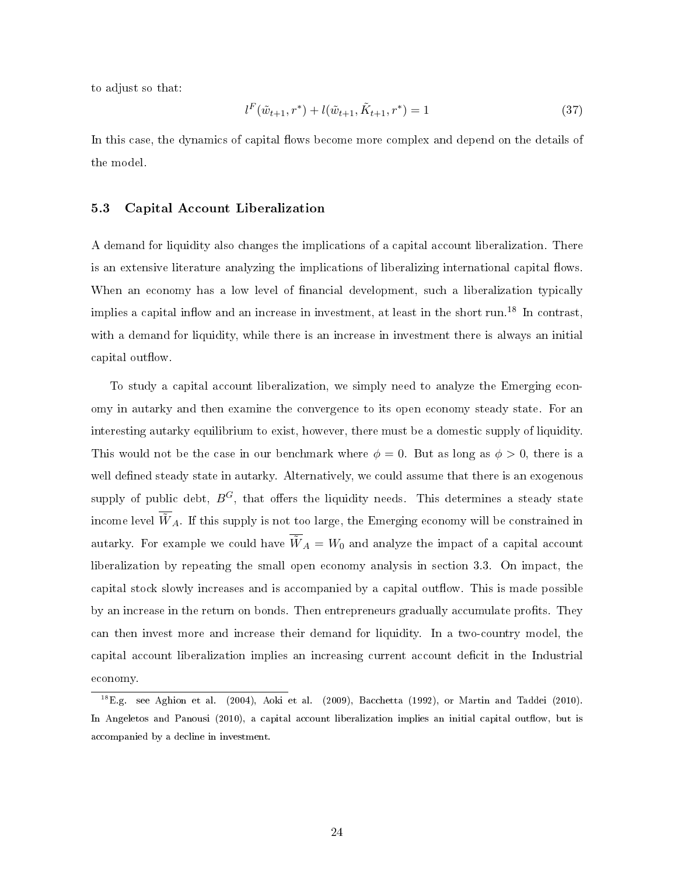to adjust so that:

$$
l^{F}(\tilde{w}_{t+1}, r^*) + l(\tilde{w}_{t+1}, \tilde{K}_{t+1}, r^*) = 1
$$
\n(37)

In this case, the dynamics of capital flows become more complex and depend on the details of the model.

#### 5.3 Capital Account Liberalization

A demand for liquidity also changes the implications of a capital account liberalization. There is an extensive literature analyzing the implications of liberalizing international capital flows. When an economy has a low level of financial development, such a liberalization typically implies a capital inflow and an increase in investment, at least in the short run.<sup>18</sup> In contrast, with a demand for liquidity, while there is an increase in investment there is always an initial capital outflow.

To study a capital account liberalization, we simply need to analyze the Emerging economy in autarky and then examine the convergence to its open economy steady state. For an interesting autarky equilibrium to exist, however, there must be a domestic supply of liquidity. This would not be the case in our benchmark where  $\phi = 0$ . But as long as  $\phi > 0$ , there is a well defined steady state in autarky. Alternatively, we could assume that there is an exogenous supply of public debt,  $B^G$ , that offers the liquidity needs. This determines a steady state income level  $\overline{\tilde{W}}_A$ . If this supply is not too large, the Emerging economy will be constrained in autarky. For example we could have  $\overline{\tilde{W}}_A = W_0$  and analyze the impact of a capital account liberalization by repeating the small open economy analysis in section 3.3. On impact, the capital stock slowly increases and is accompanied by a capital outflow. This is made possible by an increase in the return on bonds. Then entrepreneurs gradually accumulate prots. They can then invest more and increase their demand for liquidity. In a two-country model, the capital account liberalization implies an increasing current account decit in the Industrial economy.

<sup>18</sup>E.g. see Aghion et al. (2004), Aoki et al. (2009), Bacchetta (1992), or Martin and Taddei (2010). In Angeletos and Panousi (2010), a capital account liberalization implies an initial capital outflow, but is accompanied by a decline in investment.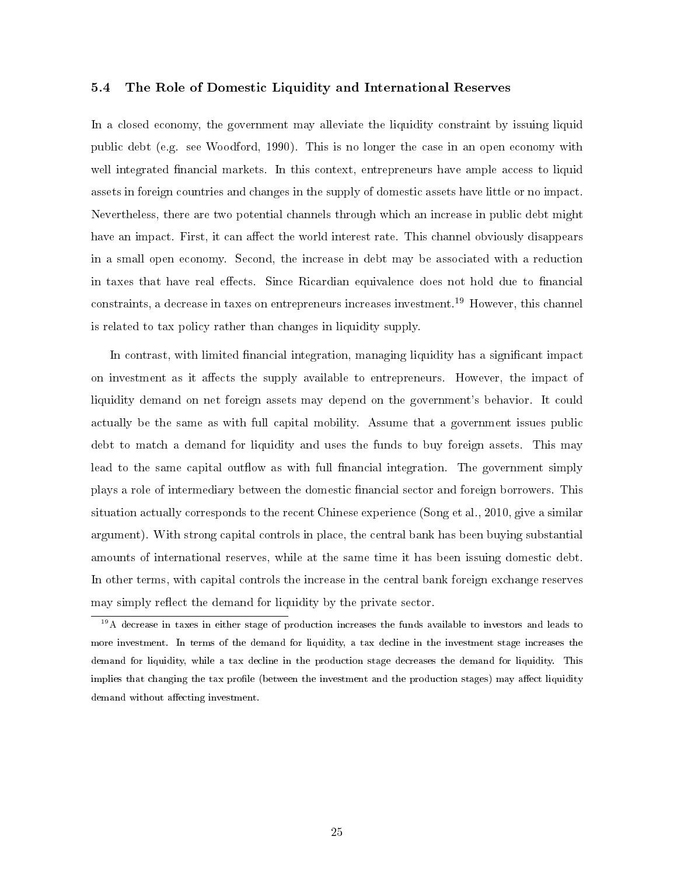#### 5.4 The Role of Domestic Liquidity and International Reserves

In a closed economy, the government may alleviate the liquidity constraint by issuing liquid public debt (e.g. see Woodford, 1990). This is no longer the case in an open economy with well integrated financial markets. In this context, entrepreneurs have ample access to liquid assets in foreign countries and changes in the supply of domestic assets have little or no impact. Nevertheless, there are two potential channels through which an increase in public debt might have an impact. First, it can affect the world interest rate. This channel obviously disappears in a small open economy. Second, the increase in debt may be associated with a reduction in taxes that have real effects. Since Ricardian equivalence does not hold due to financial constraints, a decrease in taxes on entrepreneurs increases investment.<sup>19</sup> However, this channel is related to tax policy rather than changes in liquidity supply.

In contrast, with limited financial integration, managing liquidity has a significant impact on investment as it affects the supply available to entrepreneurs. However, the impact of liquidity demand on net foreign assets may depend on the government's behavior. It could actually be the same as with full capital mobility. Assume that a government issues public debt to match a demand for liquidity and uses the funds to buy foreign assets. This may lead to the same capital outflow as with full financial integration. The government simply plays a role of intermediary between the domestic nancial sector and foreign borrowers. This situation actually corresponds to the recent Chinese experience (Song et al., 2010, give a similar argument). With strong capital controls in place, the central bank has been buying substantial amounts of international reserves, while at the same time it has been issuing domestic debt. In other terms, with capital controls the increase in the central bank foreign exchange reserves may simply reflect the demand for liquidity by the private sector.

<sup>&</sup>lt;sup>19</sup>A decrease in taxes in either stage of production increases the funds available to investors and leads to more investment. In terms of the demand for liquidity, a tax decline in the investment stage increases the demand for liquidity, while a tax decline in the production stage decreases the demand for liquidity. This implies that changing the tax profile (between the investment and the production stages) may affect liquidity demand without affecting investment.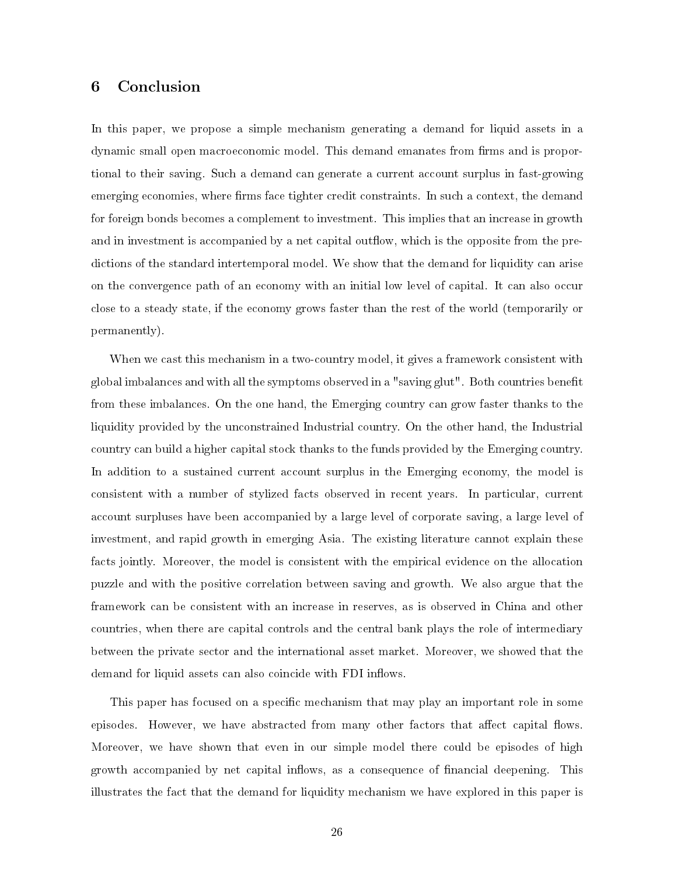## 6 Conclusion

In this paper, we propose a simple mechanism generating a demand for liquid assets in a dynamic small open macroeconomic model. This demand emanates from firms and is proportional to their saving. Such a demand can generate a current account surplus in fast-growing emerging economies, where firms face tighter credit constraints. In such a context, the demand for foreign bonds becomes a complement to investment. This implies that an increase in growth and in investment is accompanied by a net capital outflow, which is the opposite from the predictions of the standard intertemporal model. We show that the demand for liquidity can arise on the convergence path of an economy with an initial low level of capital. It can also occur close to a steady state, if the economy grows faster than the rest of the world (temporarily or permanently).

When we cast this mechanism in a two-country model, it gives a framework consistent with global imbalances and with all the symptoms observed in a "saving glut". Both countries benet from these imbalances. On the one hand, the Emerging country can grow faster thanks to the liquidity provided by the unconstrained Industrial country. On the other hand, the Industrial country can build a higher capital stock thanks to the funds provided by the Emerging country. In addition to a sustained current account surplus in the Emerging economy, the model is consistent with a number of stylized facts observed in recent years. In particular, current account surpluses have been accompanied by a large level of corporate saving, a large level of investment, and rapid growth in emerging Asia. The existing literature cannot explain these facts jointly. Moreover, the model is consistent with the empirical evidence on the allocation puzzle and with the positive correlation between saving and growth. We also argue that the framework can be consistent with an increase in reserves, as is observed in China and other countries, when there are capital controls and the central bank plays the role of intermediary between the private sector and the international asset market. Moreover, we showed that the demand for liquid assets can also coincide with FDI inflows.

This paper has focused on a specific mechanism that may play an important role in some episodes. However, we have abstracted from many other factors that affect capital flows. Moreover, we have shown that even in our simple model there could be episodes of high growth accompanied by net capital inflows, as a consequence of financial deepening. This illustrates the fact that the demand for liquidity mechanism we have explored in this paper is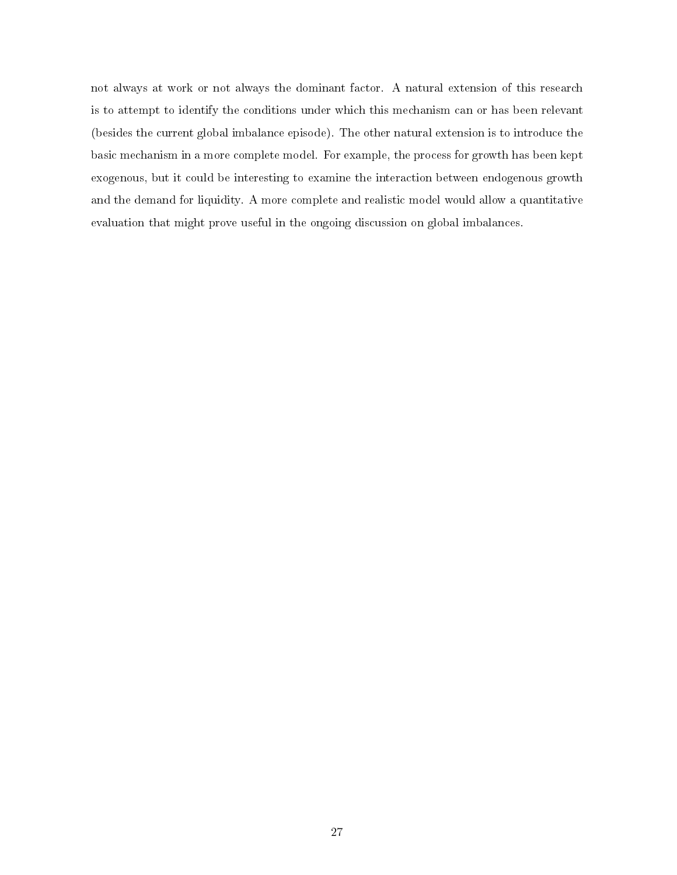not always at work or not always the dominant factor. A natural extension of this research is to attempt to identify the conditions under which this mechanism can or has been relevant (besides the current global imbalance episode). The other natural extension is to introduce the basic mechanism in a more complete model. For example, the process for growth has been kept exogenous, but it could be interesting to examine the interaction between endogenous growth and the demand for liquidity. A more complete and realistic model would allow a quantitative evaluation that might prove useful in the ongoing discussion on global imbalances.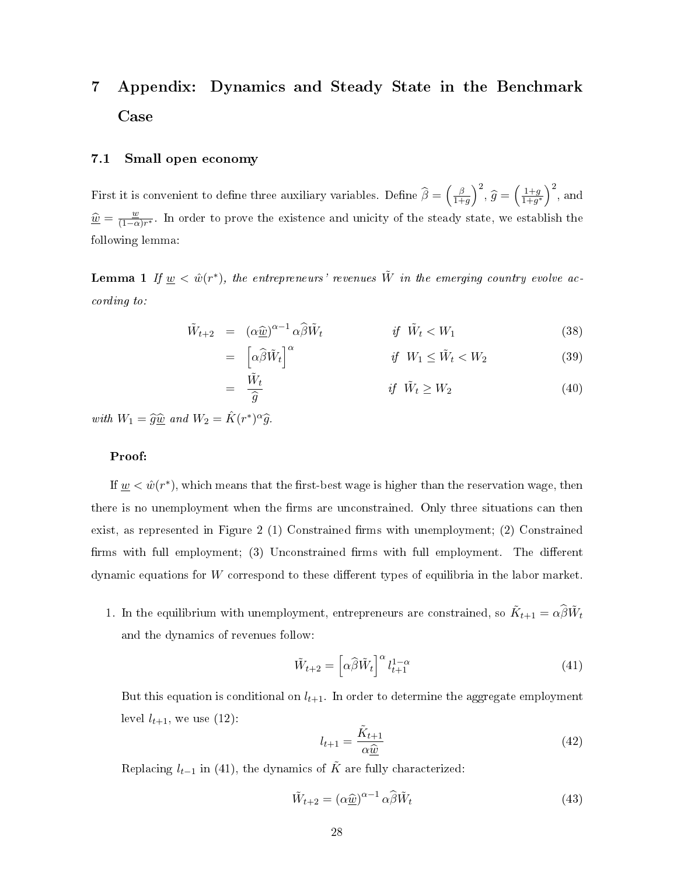## 7 Appendix: Dynamics and Steady State in the Benchmark Case

## 7.1 Small open economy

First it is convenient to define three auxiliary variables. Define  $\widehat{\beta} = \left(\frac{\beta}{1 + \beta}\right)$  $\left(\frac{\beta}{1+g}\right)^2$ ,  $\widehat{g} = \left(\frac{1+g}{1+g}\right)$  $\frac{1+g}{1+g^*}$  $\Big)^2$ , and  $\hat{\underline{w}} = \frac{\underline{w}}{(1-\alpha)}$  $\frac{w}{(1-\alpha)r^*}$ . In order to prove the existence and unicity of the steady state, we establish the following lemma:

**Lemma 1** If  $\underline{w} < \hat{w}(r^*)$ , the entrepreneurs' revenues  $\tilde{W}$  in the emerging country evolve according to:

$$
\tilde{W}_{t+2} = (\alpha \hat{\underline{w}})^{\alpha - 1} \alpha \hat{\beta} \tilde{W}_t \qquad \qquad \text{if } \tilde{W}_t < W_1 \tag{38}
$$

$$
= \left[\alpha \widehat{\beta} \widetilde{W}_t\right]^\alpha \qquad \qquad \text{if} \quad W_1 \le \widetilde{W}_t < W_2 \tag{39}
$$

$$
= \frac{\tilde{W}_t}{\hat{g}} \qquad \qquad \text{if } \tilde{W}_t \ge W_2 \tag{40}
$$

with  $W_1 = \widehat{g}\widehat{w}$  and  $W_2 = \widehat{K}(r^*)^{\alpha}\widehat{g}$ .

#### Proof:

If  $\underline{w} < \hat{w}(r^*)$ , which means that the first-best wage is higher than the reservation wage, then there is no unemployment when the firms are unconstrained. Only three situations can then exist, as represented in Figure 2 (1) Constrained firms with unemployment; (2) Constrained firms with full employment; (3) Unconstrained firms with full employment. The different dynamic equations for  $W$  correspond to these different types of equilibria in the labor market.

1. In the equilibrium with unemployment, entrepreneurs are constrained, so  $\tilde{K}_{t+1} = \alpha \hat{\beta} \tilde{W}_t$ and the dynamics of revenues follow:

$$
\tilde{W}_{t+2} = \left[ \alpha \hat{\beta} \tilde{W}_t \right]^\alpha l_{t+1}^{1-\alpha} \tag{41}
$$

But this equation is conditional on  $l_{t+1}$ . In order to determine the aggregate employment level  $l_{t+1}$ , we use  $(12)$ : K˜

$$
l_{t+1} = \frac{K_{t+1}}{\alpha \underline{\hat{w}}} \tag{42}
$$

Replacing  $l_{t-1}$  in (41), the dynamics of  $\tilde{K}$  are fully characterized:

$$
\tilde{W}_{t+2} = (\alpha \hat{\underline{w}})^{\alpha - 1} \alpha \hat{\beta} \tilde{W}_t
$$
\n(43)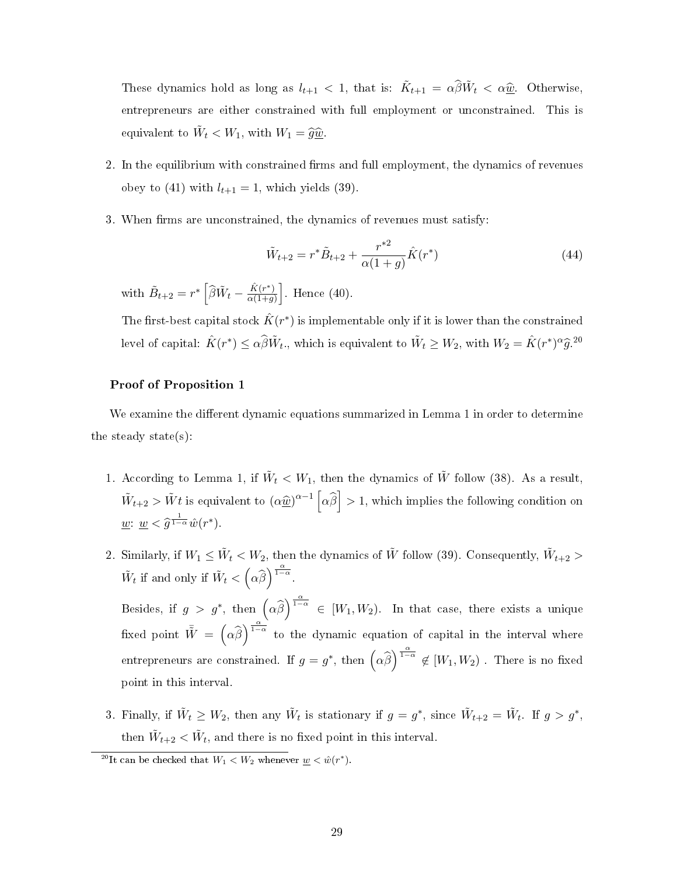These dynamics hold as long as  $l_{t+1} < 1$ , that is:  $\tilde{K}_{t+1} = \alpha \hat{\beta} \tilde{W}_t < \alpha \hat{\underline{w}}$ . Otherwise, entrepreneurs are either constrained with full employment or unconstrained. This is equivalent to  $\tilde{W}_t < W_1$ , with  $W_1 = \hat{g}\hat{\underline{w}}$ .

- 2. In the equilibrium with constrained firms and full employment, the dynamics of revenues obey to (41) with  $l_{t+1} = 1$ , which yields (39).
- 3. When firms are unconstrained, the dynamics of revenues must satisfy:

$$
\tilde{W}_{t+2} = r^* \tilde{B}_{t+2} + \frac{r^{*2}}{\alpha (1+g)} \hat{K}(r^*)
$$
\n(44)

with  $\tilde{B}_{t+2} = r^* \left[ \hat{\beta} \tilde{W}_t - \frac{\hat{K}(r^*)}{\alpha (1+g)} \right]$  $\frac{\hat{K}(r^*)}{\alpha(1+g)}$ . Hence (40).

The first-best capital stock  $\hat{K}(r^{*})$  is implementable only if it is lower than the constrained level of capital:  $\hat{K}(r^*) \leq \alpha \hat{\beta} \tilde{W}_t$ ., which is equivalent to  $\tilde{W}_t \geq W_2$ , with  $W_2 = \hat{K}(r^*)^{\alpha} \hat{g}^{20}$ 

#### Proof of Proposition 1

We examine the different dynamic equations summarized in Lemma 1 in order to determine the steady state(s):

- 1. According to Lemma 1, if  $\tilde{W}_t < W_1$ , then the dynamics of  $\tilde{W}$  follow (38). As a result,  $\tilde{W}_{t+2} > \tilde{W}t$  is equivalent to  $(\alpha \hat{\underline{w}})^{\alpha-1} \left[\alpha \hat{\beta}\right] > 1$ , which implies the following condition on  $\underline{w}$ :  $\underline{w} < \widehat{g}^{\frac{1}{1-\alpha}} \hat{w}(r^*)$ .
- 2. Similarly, if  $W_1\leq \tilde W_t < W_2,$  then the dynamics of  $\tilde W$  follow (39). Consequently,  $\tilde W_{t+2}>$  $\tilde{W}_t$  if and only if  $\tilde{W}_t < \left(\alpha \widehat{\beta} \right)$  $\frac{\alpha}{1-\alpha}$ .

Besides, if  $g > g^*$ , then  $\left(\alpha \widehat{\beta}\right)$  $\Big)^{\frac{\alpha}{1-\alpha}} \in [W_1, W_2)$ . In that case, there exists a unique fixed point  $\bar{\tilde{W}} = \left( \alpha \widehat{\beta} \right)$  $\int_{0}^{\frac{\alpha}{1-\alpha}}$  to the dynamic equation of capital in the interval where entrepreneurs are constrained. If  $g = g^*$ , then  $\left(\alpha \widehat{\beta}\right)$  $\Big)^{\frac{\alpha}{1-\alpha}}\not\in [W_1,W_2)$  . There is no fixed point in this interval.

3. Finally, if  $\tilde{W}_t \geq W_2$ , then any  $\tilde{W}_t$  is stationary if  $g = g^*$ , since  $\tilde{W}_{t+2} = \tilde{W}_t$ . If  $g > g^*$ , then  $\tilde{W}_{t+2} < \tilde{W}_t$ , and there is no fixed point in this interval.

<sup>&</sup>lt;sup>20</sup>It can be checked that  $W_1 < W_2$  whenever  $\underline{w} < \hat{w}(r^*)$ .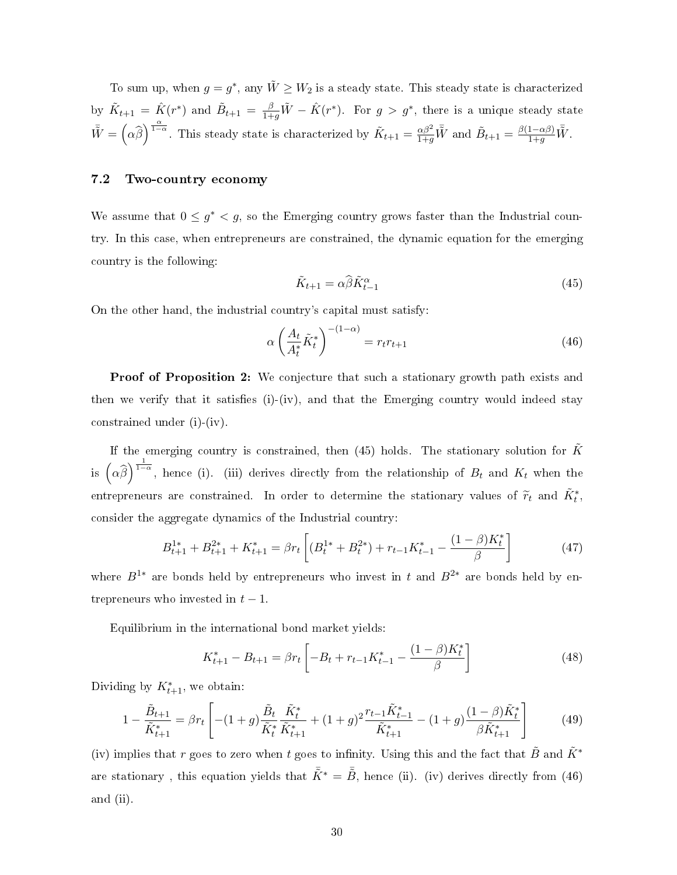To sum up, when  $g=g^*,$  any  $\tilde{W}\geq W_2$  is a steady state. This steady state is characterized by  $\tilde{K}_{t+1} = \hat{K}(r^*)$  and  $\tilde{B}_{t+1} = \frac{\beta}{1+1}$  $\frac{\beta}{1+g}\tilde{W}-\hat{K}(r^{*}).$  For  $g\,>\,g^{*},$  there is a unique steady state  $\bar{\tilde{W}} = \left(\alpha \widehat{\beta}\right)$  $\int_{0}^{\frac{\alpha}{1-\alpha}}$ . This steady state is characterized by  $\tilde{K}_{t+1} = \frac{\alpha\beta^2}{1+\alpha}$  $\frac{\alpha\beta^2}{1+g}\bar{\tilde{W}}$  and  $\tilde{B}_{t+1} = \frac{\beta(1-\alpha\beta)}{1+g}$  $rac{1-\alpha\beta)}{1+g}\overline{\tilde{W}}$ .

#### 7.2 Two-country economy

We assume that  $0 \leq g^* < g$ , so the Emerging country grows faster than the Industrial country. In this case, when entrepreneurs are constrained, the dynamic equation for the emerging country is the following:

$$
\tilde{K}_{t+1} = \alpha \hat{\beta} \tilde{K}_{t-1}^{\alpha} \tag{45}
$$

On the other hand, the industrial country's capital must satisfy:

$$
\alpha \left(\frac{A_t}{A_t^*} \tilde{K}_t^*\right)^{-(1-\alpha)} = r_t r_{t+1}
$$
\n(46)

Proof of Proposition 2: We conjecture that such a stationary growth path exists and then we verify that it satisfies (i)-(iv), and that the Emerging country would indeed stay constrained under (i)-(iv).

If the emerging country is constrained, then (45) holds. The stationary solution for  $\tilde{K}$ is  $\left(\alpha\widehat{\beta}\right)$  $\int_{0}^{\frac{1}{1-\alpha}}$ , hence (i). (iii) derives directly from the relationship of  $B_t$  and  $K_t$  when the entrepreneurs are constrained. In order to determine the stationary values of  $\widetilde{r}_t$  and  $\tilde{K}^*_t,$ consider the aggregate dynamics of the Industrial country:

$$
B_{t+1}^{1*} + B_{t+1}^{2*} + K_{t+1}^{*} = \beta r_t \left[ (B_t^{1*} + B_t^{2*}) + r_{t-1} K_{t-1}^{*} - \frac{(1-\beta)K_t^{*}}{\beta} \right]
$$
(47)

where  $B^{1*}$  are bonds held by entrepreneurs who invest in t and  $B^{2*}$  are bonds held by entrepreneurs who invested in  $t - 1$ .

Equilibrium in the international bond market yields:

$$
K_{t+1}^* - B_{t+1} = \beta r_t \left[ -B_t + r_{t-1} K_{t-1}^* - \frac{(1-\beta)K_t^*}{\beta} \right]
$$
\n(48)

Dividing by  $K_{t+1}^*$ , we obtain:

$$
1 - \frac{\tilde{B}_{t+1}}{\tilde{K}_{t+1}^*} = \beta r_t \left[ -(1+g) \frac{\tilde{B}_t}{\tilde{K}_t^*} \frac{\tilde{K}_t^*}{\tilde{K}_{t+1}^*} + (1+g)^2 \frac{r_{t-1} \tilde{K}_{t-1}^*}{\tilde{K}_{t+1}^*} - (1+g) \frac{(1-\beta)\tilde{K}_t^*}{\beta \tilde{K}_{t+1}^*} \right] \tag{49}
$$

(iv) implies that r goes to zero when t goes to infinity. Using this and the fact that  $\tilde{B}$  and  $\tilde{K}^*$ are stationary, this equation yields that  $\bar{\tilde{K}}^* = \bar{\tilde{B}}$ , hence (ii). (iv) derives directly from (46) and (ii).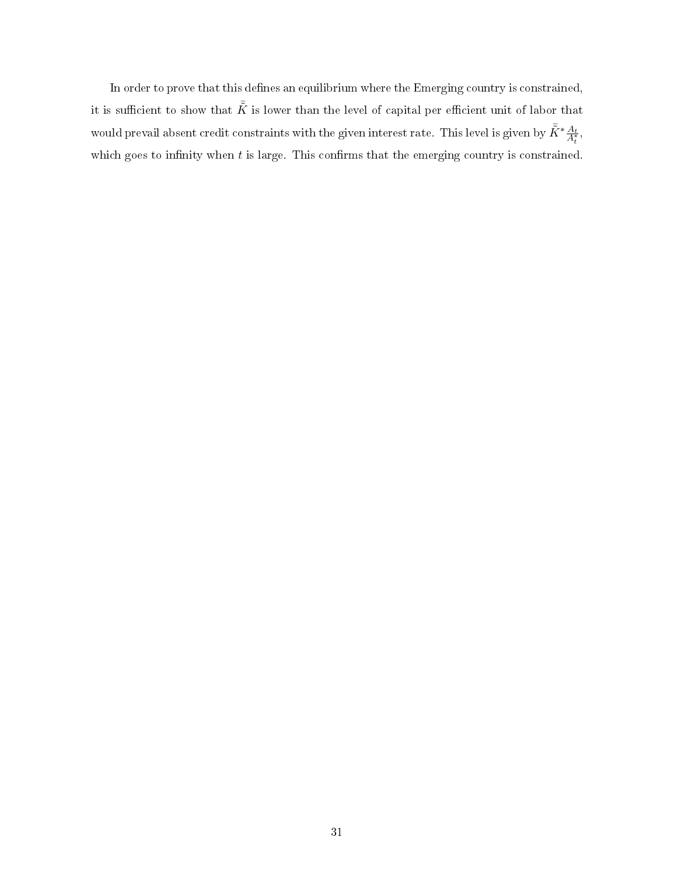In order to prove that this defines an equilibrium where the Emerging country is constrained, it is sufficient to show that  $\bar{\tilde{K}}$  is lower than the level of capital per efficient unit of labor that would prevail absent credit constraints with the given interest rate. This level is given by  $\tilde{K}^*\frac{A_t}{A_t^*},$ which goes to infinity when  $t$  is large. This confirms that the emerging country is constrained.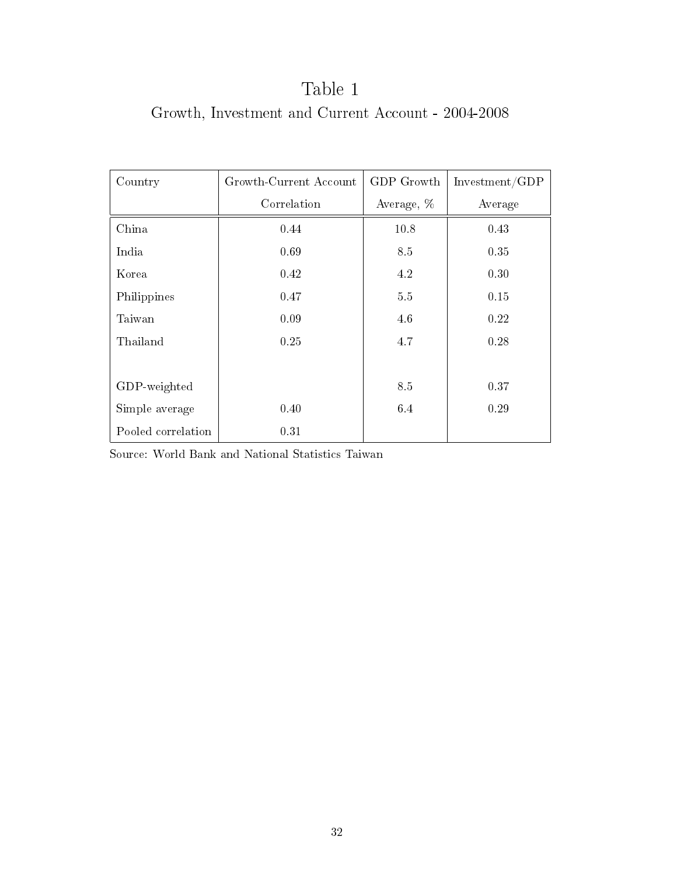Table 1 Growth, Investment and Current Account - 2004-2008

| Country            | Growth-Current Account | GDP Growth | Investment/GDP |
|--------------------|------------------------|------------|----------------|
|                    | Correlation            | Average, % | Average        |
| China              | 0.44                   | 10.8       | 0.43           |
| India              | 0.69                   | 8.5        | 0.35           |
| Korea              | 0.42                   | 4.2        | 0.30           |
| Philippines        | 0.47                   | 5.5        | 0.15           |
| Taiwan             | 0.09                   | 4.6        | 0.22           |
| Thailand           | 0.25                   | 4.7        | 0.28           |
|                    |                        |            |                |
| GDP-weighted       |                        | 85         | 0.37           |
| Simple average     | 0.40                   | 6.4        | 0.29           |
| Pooled correlation | 0.31                   |            |                |

Source: World Bank and National Statistics Taiwan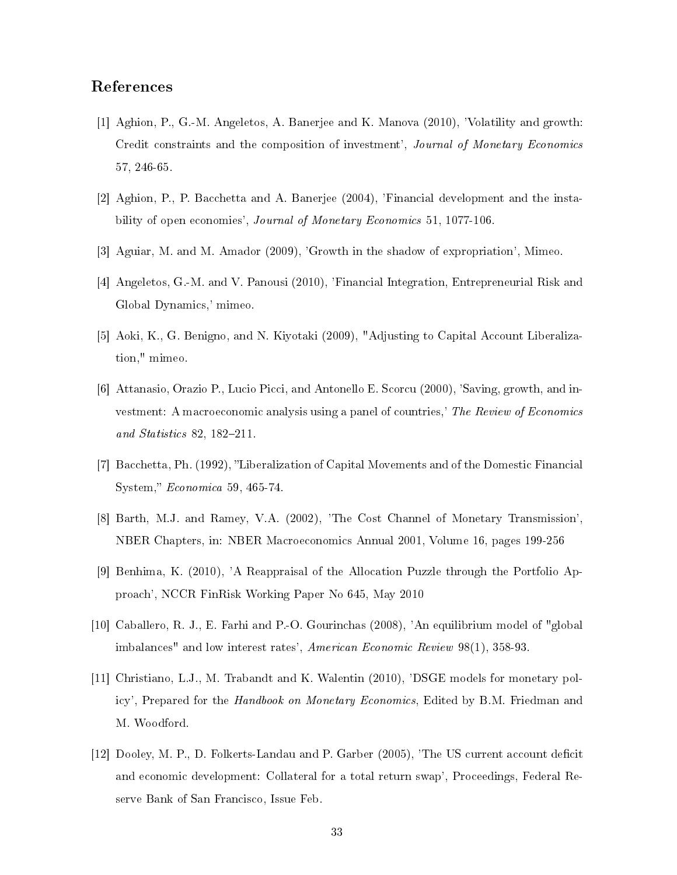## References

- [1] Aghion, P., G.-M. Angeletos, A. Banerjee and K. Manova (2010), 'Volatility and growth: Credit constraints and the composition of investment', Journal of Monetary Economics 57, 246-65.
- [2] Aghion, P., P. Bacchetta and A. Banerjee (2004), 'Financial development and the instability of open economies', *Journal of Monetary Economics* 51, 1077-106.
- [3] Aguiar, M. and M. Amador (2009), 'Growth in the shadow of expropriation', Mimeo.
- [4] Angeletos, G.-M. and V. Panousi (2010), 'Financial Integration, Entrepreneurial Risk and Global Dynamics,' mimeo.
- [5] Aoki, K., G. Benigno, and N. Kiyotaki (2009), "Adjusting to Capital Account Liberalization," mimeo.
- [6] Attanasio, Orazio P., Lucio Picci, and Antonello E. Scorcu (2000), 'Saving, growth, and investment: A macroeconomic analysis using a panel of countries,' The Review of Economics and Statistics  $82, 182-211$ .
- [7] Bacchetta, Ph. (1992), "Liberalization of Capital Movements and of the Domestic Financial System," *Economica* 59, 465-74.
- [8] Barth, M.J. and Ramey, V.A. (2002), 'The Cost Channel of Monetary Transmission', NBER Chapters, in: NBER Macroeconomics Annual 2001, Volume 16, pages 199-256
- [9] Benhima, K. (2010), 'A Reappraisal of the Allocation Puzzle through the Portfolio Approach', NCCR FinRisk Working Paper No 645, May 2010
- [10] Caballero, R. J., E. Farhi and P.-O. Gourinchas (2008), 'An equilibrium model of "global imbalances" and low interest rates', American Economic Review 98(1), 358-93.
- [11] Christiano, L.J., M. Trabandt and K. Walentin (2010), 'DSGE models for monetary policy', Prepared for the *Handbook on Monetary Economics*, Edited by B.M. Friedman and M. Woodford.
- [12] Dooley, M. P., D. Folkerts-Landau and P. Garber (2005), 'The US current account deficit and economic development: Collateral for a total return swap', Proceedings, Federal Reserve Bank of San Francisco, Issue Feb.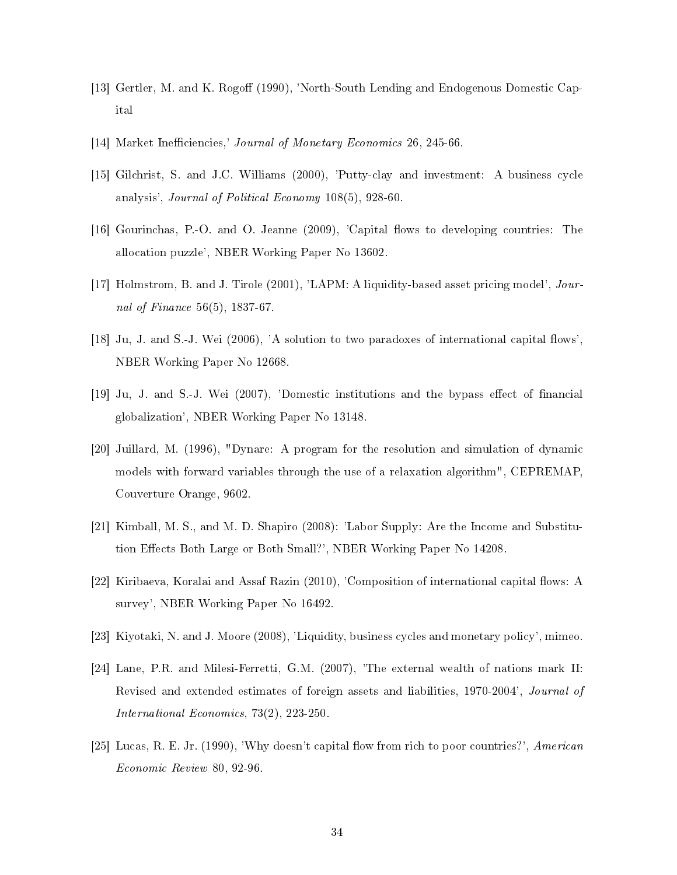- [13] Gertler, M. and K. Rogoff (1990), 'North-South Lending and Endogenous Domestic Capital
- [14] Market Inefficiencies,' Journal of Monetary Economics 26, 245-66.
- [15] Gilchrist, S. and J.C. Williams (2000), 'Putty-clay and investment: A business cycle analysis', Journal of Political Economy 108(5), 928-60.
- [16] Gourinchas, P.-O. and O. Jeanne (2009), 'Capital flows to developing countries: The allocation puzzle', NBER Working Paper No 13602.
- [17] Holmstrom, B. and J. Tirole (2001), 'LAPM: A liquidity-based asset pricing model', Journal of Finance 56(5), 1837-67.
- [18] Ju, J. and S.-J. Wei  $(2006)$ , 'A solution to two paradoxes of international capital flows'. NBER Working Paper No 12668.
- $[19]$  Ju, J. and S.-J. Wei  $(2007)$ , 'Domestic institutions and the bypass effect of financial globalization', NBER Working Paper No 13148.
- [20] Juillard, M. (1996), "Dynare: A program for the resolution and simulation of dynamic models with forward variables through the use of a relaxation algorithm", CEPREMAP, Couverture Orange, 9602.
- [21] Kimball, M. S., and M. D. Shapiro (2008): 'Labor Supply: Are the Income and Substitution Effects Both Large or Both Small?', NBER Working Paper No 14208.
- [22] Kiribaeva, Koralai and Assaf Razin  $(2010)$ , 'Composition of international capital flows: A survey', NBER Working Paper No 16492.
- [23] Kiyotaki, N. and J. Moore (2008), 'Liquidity, business cycles and monetary policy', mimeo.
- [24] Lane, P.R. and Milesi-Ferretti, G.M. (2007), 'The external wealth of nations mark II: Revised and extended estimates of foreign assets and liabilities, 1970-2004', Journal of International Economics, 73(2), 223-250.
- [25] Lucas, R. E. Jr. (1990), 'Why doesn't capital flow from rich to poor countries?', American Economic Review 80, 92-96.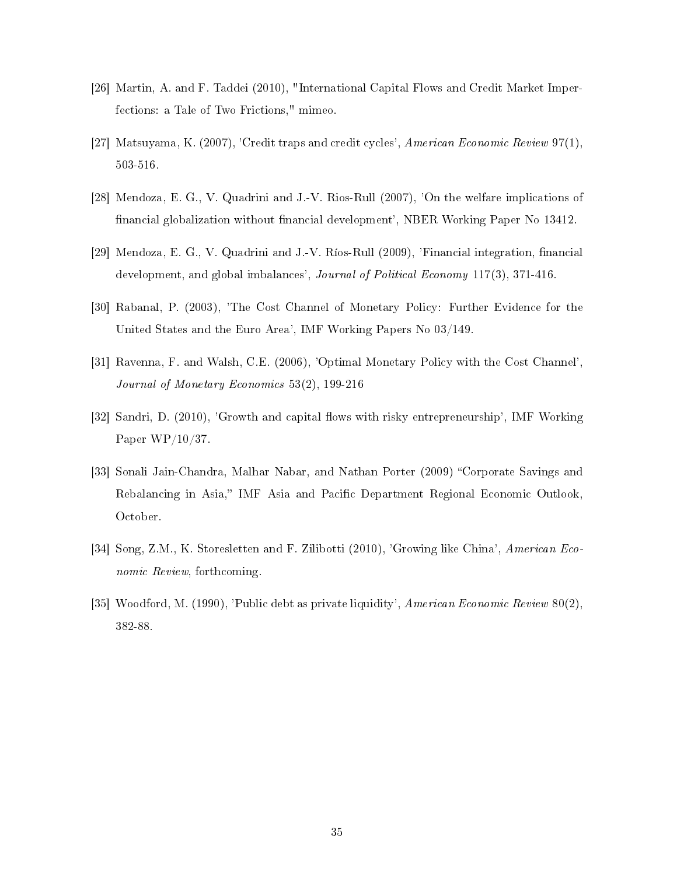- [26] Martin, A. and F. Taddei (2010), "International Capital Flows and Credit Market Imperfections: a Tale of Two Frictions," mimeo.
- [27] Matsuyama, K. (2007), 'Credit traps and credit cycles', American Economic Review 97(1), 503-516.
- [28] Mendoza, E. G., V. Quadrini and J.-V. Rios-Rull (2007), 'On the welfare implications of financial globalization without financial development', NBER Working Paper No 13412.
- [29] Mendoza, E. G., V. Quadrini and J.-V. Ríos-Rull (2009), 'Financial integration, financial development, and global imbalances', Journal of Political Economy 117(3), 371-416.
- [30] Rabanal, P. (2003), 'The Cost Channel of Monetary Policy: Further Evidence for the United States and the Euro Area', IMF Working Papers No 03/149.
- [31] Ravenna, F. and Walsh, C.E. (2006), 'Optimal Monetary Policy with the Cost Channel', Journal of Monetary Economics 53(2), 199-216
- [32] Sandri, D. (2010), 'Growth and capital flows with risky entrepreneurship', IMF Working Paper WP/10/37.
- [33] Sonali Jain-Chandra, Malhar Nabar, and Nathan Porter (2009) "Corporate Savings and Rebalancing in Asia," IMF Asia and Pacific Department Regional Economic Outlook, October.
- [34] Song, Z.M., K. Storesletten and F. Zilibotti (2010), 'Growing like China', American Economic Review, forthcoming.
- [35] Woodford, M. (1990), 'Public debt as private liquidity', American Economic Review 80(2), 382-88.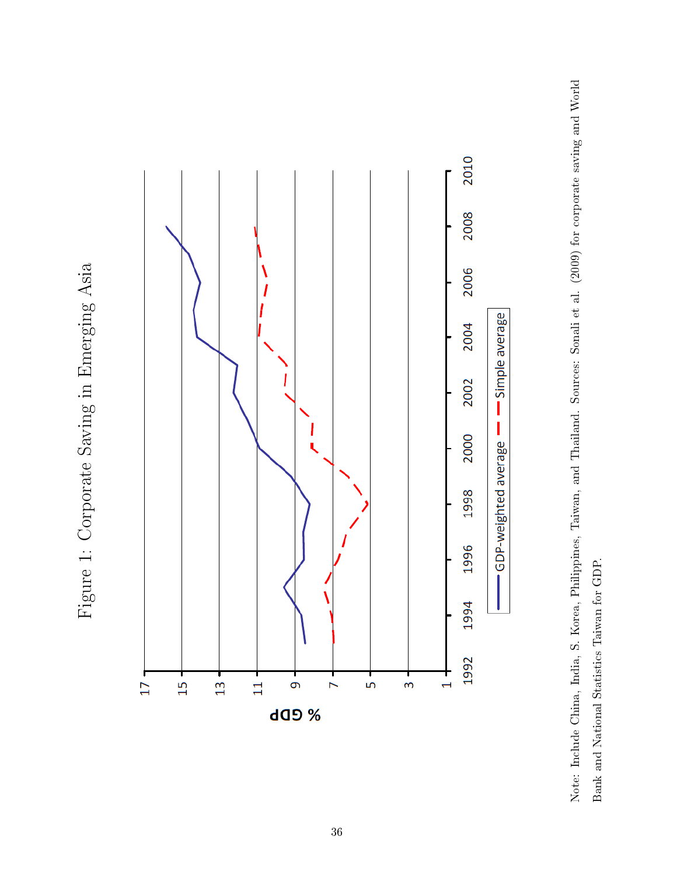



Note: Include China, India, S. Korea, Philippines, Taiwan, and Thailand. Sources: Sonali et al. (2009) for corporate saving and World Note: Include China, India, S. Korea, Philippines, Taiwan, and Thailand. Sources: Sonali et al. (2009) for corporate saving and World Bank and National Statistics Taiwan for GDP. Bank and National Statistics Taiwan for GDP.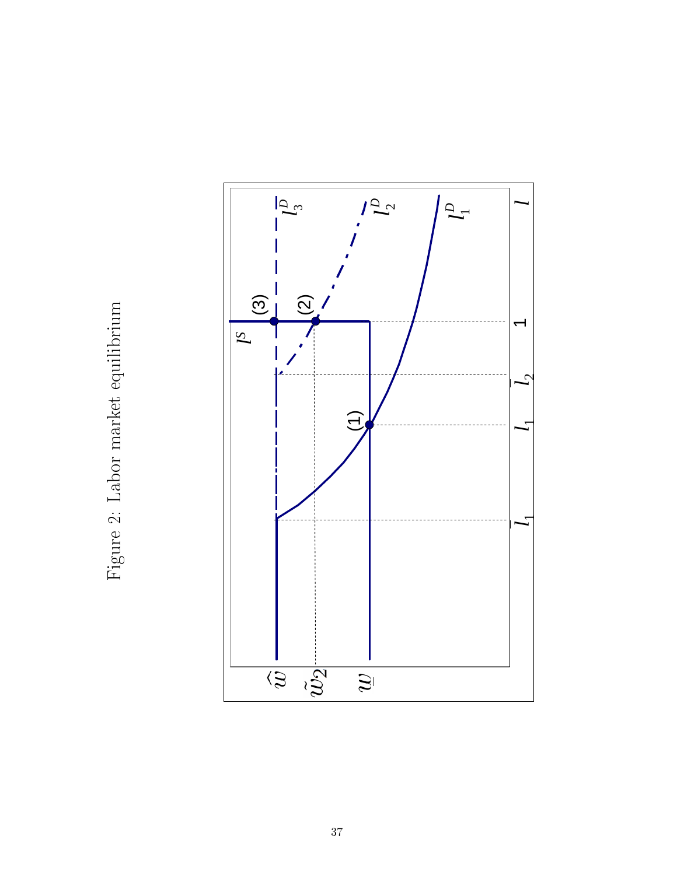Figure 2: Labor market equilibrium Figure 2: Labor market equilibrium

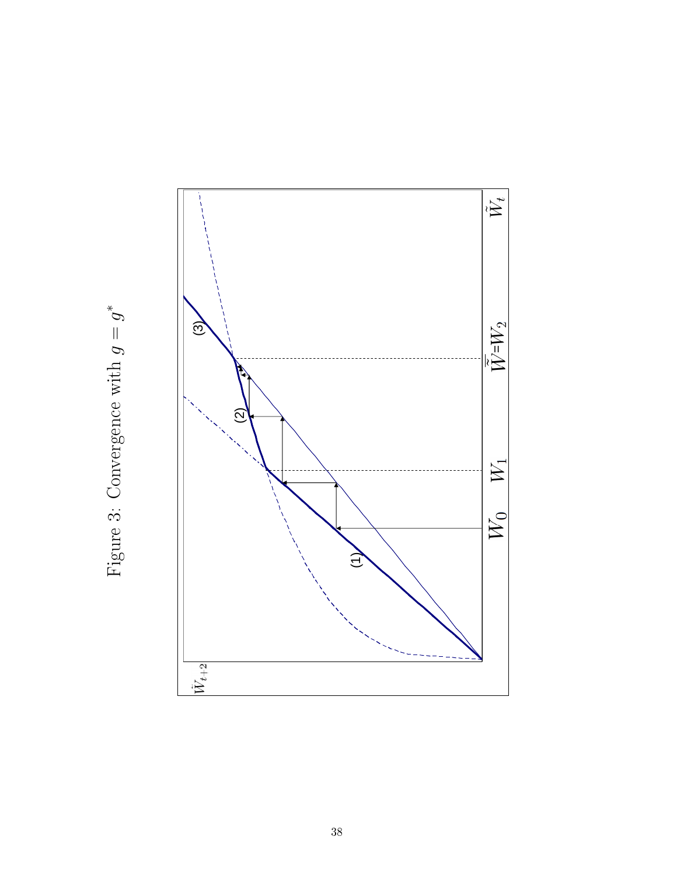

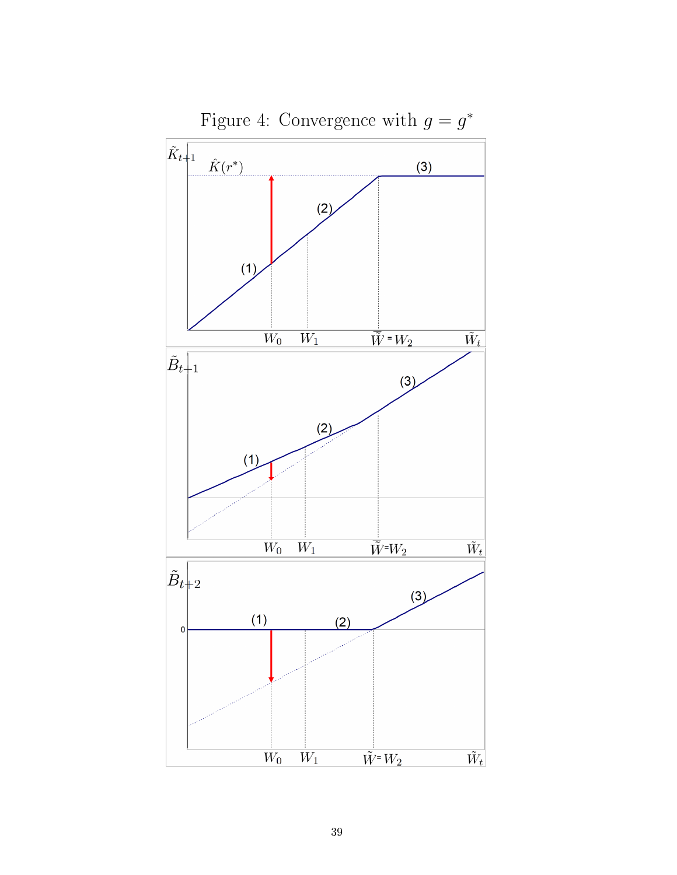

Figure 4: Convergence with  $g = g^*$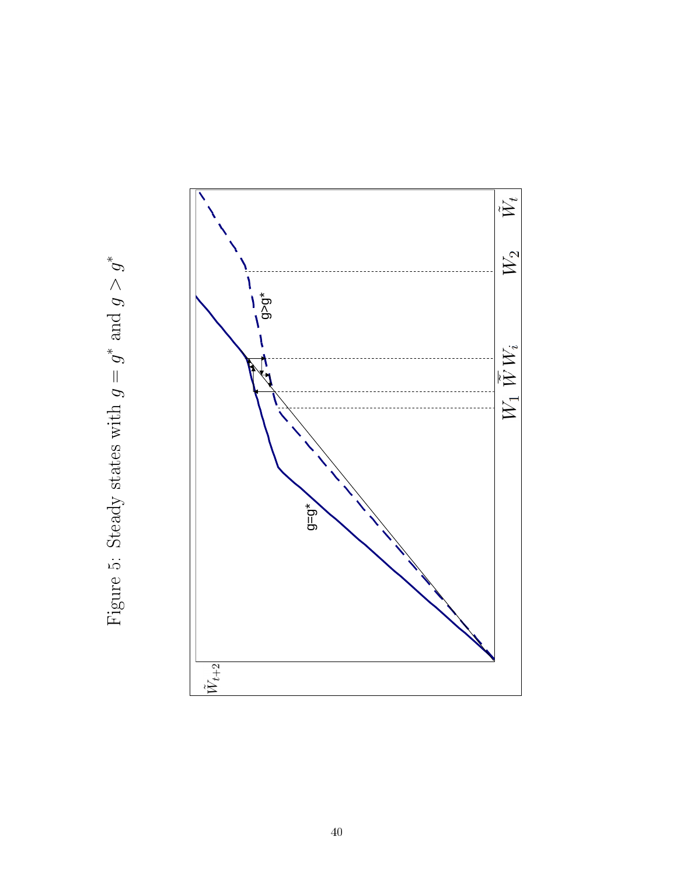

Figure 5: Steady states with  $g = g^*$  and  $g > g^*$ Figure 5: Steady states with  $g = g^*$  and  $g > g^*$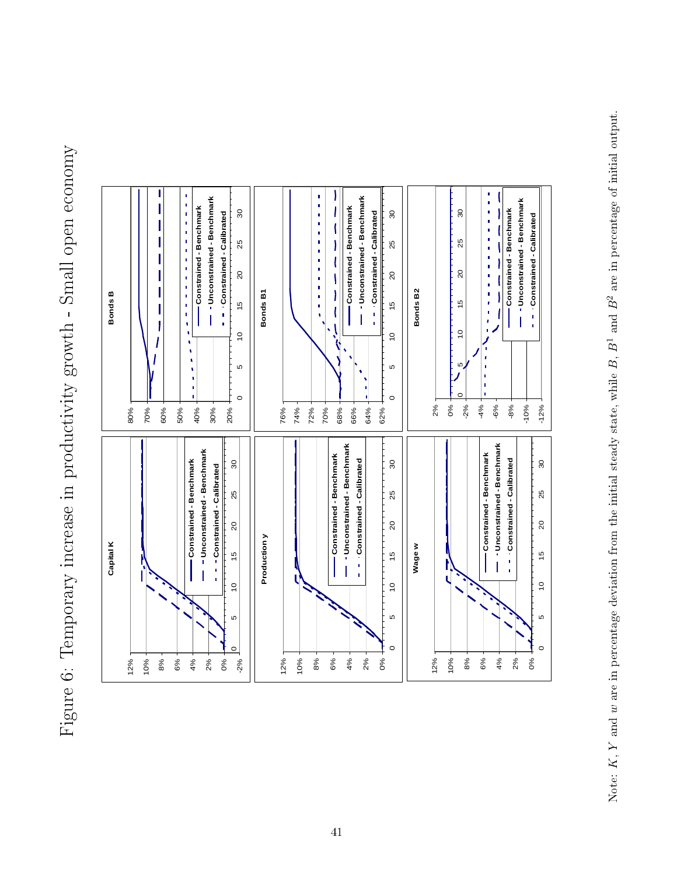Figure 6: Temporary increase in productivity growth - Small open economy Figure 6: Temporary increase in productivity growth - Small open economy



Note:  $K, Y$  and w are in percentage deviation from the initial steady state, while  $B, B<sup>1</sup>$  and  $B<sup>2</sup>$  are in percentage of initial output.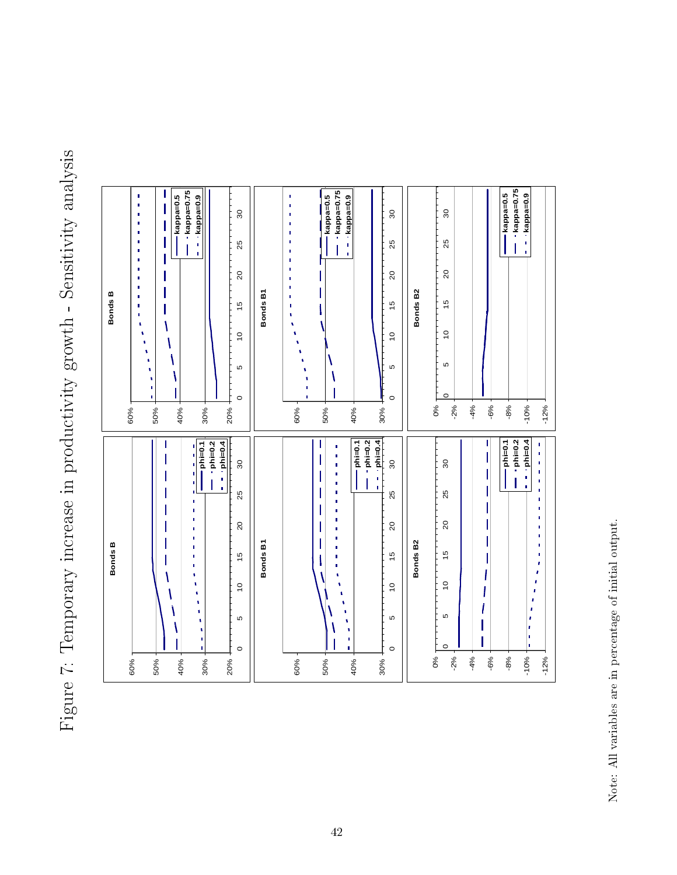Figure 7: Temporary increase in productivity growth - Sensitivity analysis Figure 7: Temporary increase in productivity growth - Sensitivity analysis



Note: All variables are in percentage of initial output. Note: All variables are in percentage of initial output.